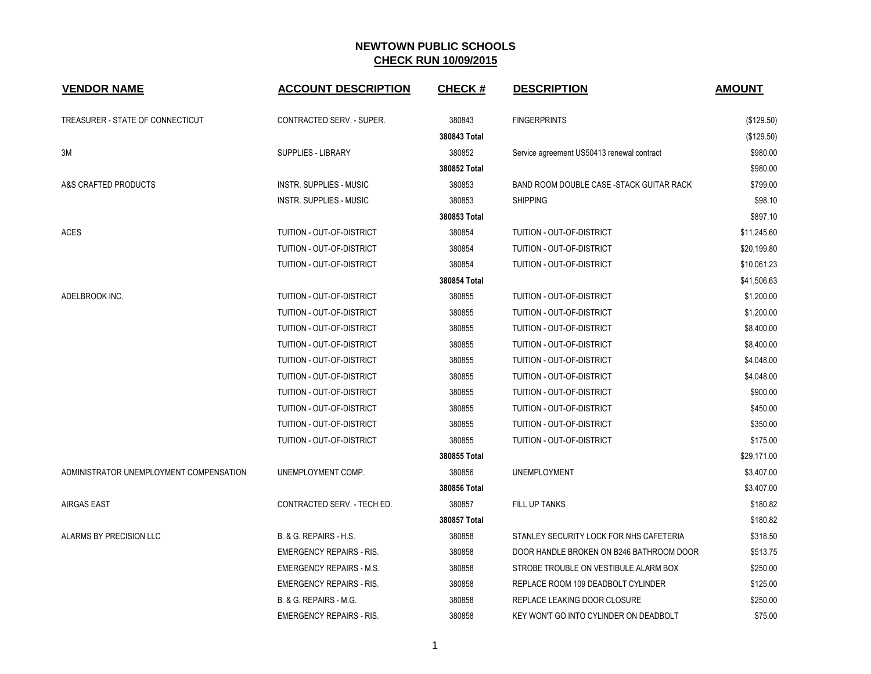| <b>VENDOR NAME</b>                      | <b>ACCOUNT DESCRIPTION</b>       | <b>CHECK#</b> | <b>DESCRIPTION</b>                         | <b>AMOUNT</b> |
|-----------------------------------------|----------------------------------|---------------|--------------------------------------------|---------------|
|                                         |                                  |               |                                            |               |
| TREASURER - STATE OF CONNECTICUT        | <b>CONTRACTED SERV. - SUPER.</b> | 380843        | <b>FINGERPRINTS</b>                        | (\$129.50)    |
|                                         |                                  | 380843 Total  |                                            | (\$129.50)    |
| ЗM                                      | <b>SUPPLIES - LIBRARY</b>        | 380852        | Service agreement US50413 renewal contract | \$980.00      |
|                                         |                                  | 380852 Total  |                                            | \$980.00      |
| A&S CRAFTED PRODUCTS                    | <b>INSTR. SUPPLIES - MUSIC</b>   | 380853        | BAND ROOM DOUBLE CASE -STACK GUITAR RACK   | \$799.00      |
|                                         | <b>INSTR. SUPPLIES - MUSIC</b>   | 380853        | <b>SHIPPING</b>                            | \$98.10       |
|                                         |                                  | 380853 Total  |                                            | \$897.10      |
| <b>ACES</b>                             | TUITION - OUT-OF-DISTRICT        | 380854        | TUITION - OUT-OF-DISTRICT                  | \$11,245.60   |
|                                         | TUITION - OUT-OF-DISTRICT        | 380854        | TUITION - OUT-OF-DISTRICT                  | \$20,199.80   |
|                                         | TUITION - OUT-OF-DISTRICT        | 380854        | TUITION - OUT-OF-DISTRICT                  | \$10,061.23   |
|                                         |                                  | 380854 Total  |                                            | \$41,506.63   |
| ADELBROOK INC.                          | TUITION - OUT-OF-DISTRICT        | 380855        | TUITION - OUT-OF-DISTRICT                  | \$1,200.00    |
|                                         | TUITION - OUT-OF-DISTRICT        | 380855        | TUITION - OUT-OF-DISTRICT                  | \$1,200.00    |
|                                         | TUITION - OUT-OF-DISTRICT        | 380855        | TUITION - OUT-OF-DISTRICT                  | \$8,400.00    |
|                                         | TUITION - OUT-OF-DISTRICT        | 380855        | TUITION - OUT-OF-DISTRICT                  | \$8,400.00    |
|                                         | TUITION - OUT-OF-DISTRICT        | 380855        | TUITION - OUT-OF-DISTRICT                  | \$4,048.00    |
|                                         | TUITION - OUT-OF-DISTRICT        | 380855        | TUITION - OUT-OF-DISTRICT                  | \$4,048.00    |
|                                         | TUITION - OUT-OF-DISTRICT        | 380855        | TUITION - OUT-OF-DISTRICT                  | \$900.00      |
|                                         | TUITION - OUT-OF-DISTRICT        | 380855        | TUITION - OUT-OF-DISTRICT                  | \$450.00      |
|                                         | TUITION - OUT-OF-DISTRICT        | 380855        | TUITION - OUT-OF-DISTRICT                  | \$350.00      |
|                                         | TUITION - OUT-OF-DISTRICT        | 380855        | TUITION - OUT-OF-DISTRICT                  | \$175.00      |
|                                         |                                  | 380855 Total  |                                            | \$29,171.00   |
| ADMINISTRATOR UNEMPLOYMENT COMPENSATION | UNEMPLOYMENT COMP.               | 380856        | <b>UNEMPLOYMENT</b>                        | \$3,407.00    |
|                                         |                                  | 380856 Total  |                                            | \$3,407.00    |
| <b>AIRGAS EAST</b>                      | CONTRACTED SERV. - TECH ED.      | 380857        | <b>FILL UP TANKS</b>                       | \$180.82      |
|                                         |                                  | 380857 Total  |                                            | \$180.82      |
| ALARMS BY PRECISION LLC                 | B. & G. REPAIRS - H.S.           | 380858        | STANLEY SECURITY LOCK FOR NHS CAFETERIA    | \$318.50      |
|                                         | <b>EMERGENCY REPAIRS - RIS.</b>  | 380858        | DOOR HANDLE BROKEN ON B246 BATHROOM DOOR   | \$513.75      |
|                                         | <b>EMERGENCY REPAIRS - M.S.</b>  | 380858        | STROBE TROUBLE ON VESTIBULE ALARM BOX      | \$250.00      |
|                                         | <b>EMERGENCY REPAIRS - RIS.</b>  | 380858        | REPLACE ROOM 109 DEADBOLT CYLINDER         | \$125.00      |
|                                         | B. & G. REPAIRS - M.G.           | 380858        | REPLACE LEAKING DOOR CLOSURE               | \$250.00      |
|                                         | <b>EMERGENCY REPAIRS - RIS.</b>  | 380858        | KEY WON'T GO INTO CYLINDER ON DEADBOLT     | \$75.00       |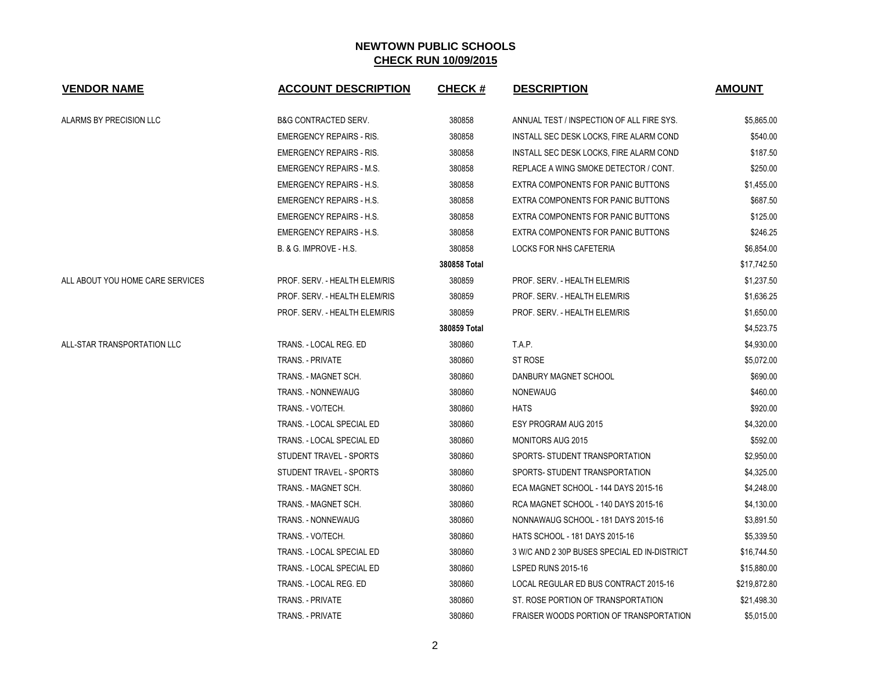| <b>VENDOR NAME</b>               | <b>ACCOUNT DESCRIPTION</b>      | <b>CHECK#</b> | <b>DESCRIPTION</b>                           | <b>AMOUNT</b> |
|----------------------------------|---------------------------------|---------------|----------------------------------------------|---------------|
| ALARMS BY PRECISION LLC          | <b>B&amp;G CONTRACTED SERV.</b> | 380858        | ANNUAL TEST / INSPECTION OF ALL FIRE SYS.    | \$5,865.00    |
|                                  | <b>EMERGENCY REPAIRS - RIS.</b> | 380858        | INSTALL SEC DESK LOCKS, FIRE ALARM COND      | \$540.00      |
|                                  | <b>EMERGENCY REPAIRS - RIS.</b> | 380858        | INSTALL SEC DESK LOCKS, FIRE ALARM COND      | \$187.50      |
|                                  | <b>EMERGENCY REPAIRS - M.S.</b> | 380858        | REPLACE A WING SMOKE DETECTOR / CONT.        | \$250.00      |
|                                  | <b>EMERGENCY REPAIRS - H.S.</b> | 380858        | EXTRA COMPONENTS FOR PANIC BUTTONS           | \$1,455.00    |
|                                  | <b>EMERGENCY REPAIRS - H.S.</b> | 380858        | EXTRA COMPONENTS FOR PANIC BUTTONS           | \$687.50      |
|                                  | <b>EMERGENCY REPAIRS - H.S.</b> | 380858        | EXTRA COMPONENTS FOR PANIC BUTTONS           | \$125.00      |
|                                  | <b>EMERGENCY REPAIRS - H.S.</b> | 380858        | EXTRA COMPONENTS FOR PANIC BUTTONS           | \$246.25      |
|                                  | B. & G. IMPROVE - H.S.          | 380858        | LOCKS FOR NHS CAFETERIA                      | \$6,854.00    |
|                                  |                                 | 380858 Total  |                                              | \$17,742.50   |
| ALL ABOUT YOU HOME CARE SERVICES | PROF. SERV. - HEALTH ELEM/RIS   | 380859        | PROF. SERV. - HEALTH ELEM/RIS                | \$1,237.50    |
|                                  | PROF. SERV. - HEALTH ELEM/RIS   | 380859        | PROF. SERV. - HEALTH ELEM/RIS                | \$1,636.25    |
|                                  | PROF. SERV. - HEALTH ELEM/RIS   | 380859        | PROF. SERV. - HEALTH ELEM/RIS                | \$1,650.00    |
|                                  |                                 | 380859 Total  |                                              | \$4,523.75    |
| ALL-STAR TRANSPORTATION LLC      | TRANS. - LOCAL REG. ED          | 380860        | T.A.P.                                       | \$4,930.00    |
|                                  | <b>TRANS. - PRIVATE</b>         | 380860        | ST ROSE                                      | \$5,072.00    |
|                                  | TRANS. - MAGNET SCH.            | 380860        | DANBURY MAGNET SCHOOL                        | \$690.00      |
|                                  | TRANS. - NONNEWAUG              | 380860        | <b>NONEWAUG</b>                              | \$460.00      |
|                                  | TRANS. - VO/TECH.               | 380860        | <b>HATS</b>                                  | \$920.00      |
|                                  | TRANS. - LOCAL SPECIAL ED       | 380860        | ESY PROGRAM AUG 2015                         | \$4,320.00    |
|                                  | TRANS. - LOCAL SPECIAL ED       | 380860        | <b>MONITORS AUG 2015</b>                     | \$592.00      |
|                                  | STUDENT TRAVEL - SPORTS         | 380860        | SPORTS- STUDENT TRANSPORTATION               | \$2,950.00    |
|                                  | STUDENT TRAVEL - SPORTS         | 380860        | SPORTS- STUDENT TRANSPORTATION               | \$4,325.00    |
|                                  | TRANS. - MAGNET SCH.            | 380860        | ECA MAGNET SCHOOL - 144 DAYS 2015-16         | \$4,248.00    |
|                                  | TRANS. - MAGNET SCH.            | 380860        | RCA MAGNET SCHOOL - 140 DAYS 2015-16         | \$4,130.00    |
|                                  | TRANS. - NONNEWAUG              | 380860        | NONNAWAUG SCHOOL - 181 DAYS 2015-16          | \$3,891.50    |
|                                  | TRANS. - VO/TECH.               | 380860        | HATS SCHOOL - 181 DAYS 2015-16               | \$5,339.50    |
|                                  | TRANS. - LOCAL SPECIAL ED       | 380860        | 3 W/C AND 2 30P BUSES SPECIAL ED IN-DISTRICT | \$16,744.50   |
|                                  | TRANS. - LOCAL SPECIAL ED       | 380860        | LSPED RUNS 2015-16                           | \$15,880.00   |
|                                  | TRANS. - LOCAL REG. ED          | 380860        | LOCAL REGULAR ED BUS CONTRACT 2015-16        | \$219,872.80  |
|                                  | TRANS. - PRIVATE                | 380860        | ST. ROSE PORTION OF TRANSPORTATION           | \$21,498.30   |
|                                  | TRANS. - PRIVATE                | 380860        | FRAISER WOODS PORTION OF TRANSPORTATION      | \$5,015.00    |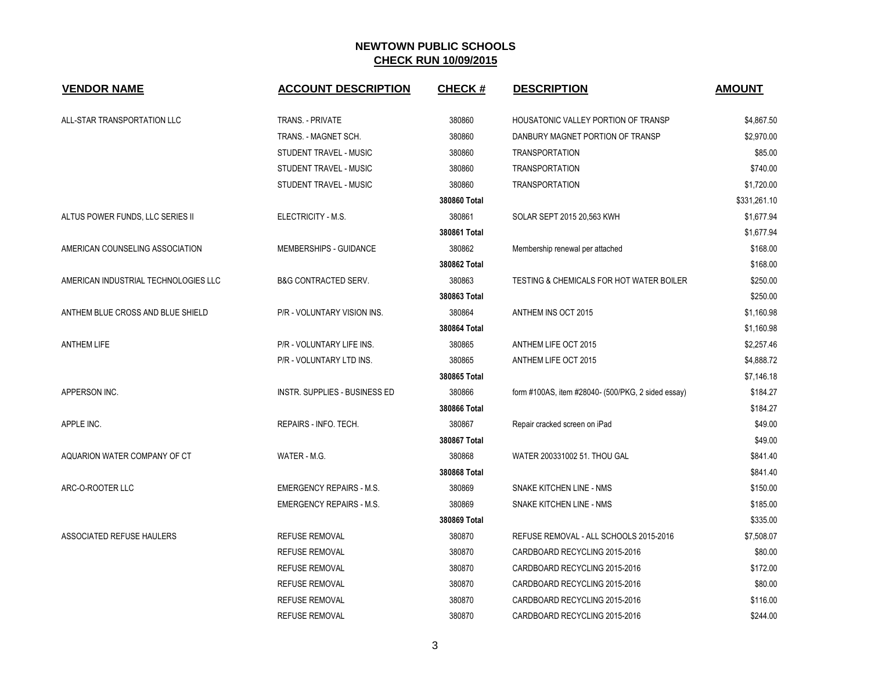| <b>VENDOR NAME</b>                   | <b>ACCOUNT DESCRIPTION</b>           | <b>CHECK#</b> | <b>DESCRIPTION</b>                                 | <b>AMOUNT</b> |
|--------------------------------------|--------------------------------------|---------------|----------------------------------------------------|---------------|
| ALL-STAR TRANSPORTATION LLC          | TRANS. - PRIVATE                     | 380860        | HOUSATONIC VALLEY PORTION OF TRANSP                | \$4,867.50    |
|                                      | TRANS. - MAGNET SCH.                 | 380860        | DANBURY MAGNET PORTION OF TRANSP                   | \$2,970.00    |
|                                      | STUDENT TRAVEL - MUSIC               | 380860        | <b>TRANSPORTATION</b>                              | \$85.00       |
|                                      | STUDENT TRAVEL - MUSIC               | 380860        | <b>TRANSPORTATION</b>                              | \$740.00      |
|                                      | STUDENT TRAVEL - MUSIC               | 380860        | <b>TRANSPORTATION</b>                              | \$1,720.00    |
|                                      |                                      | 380860 Total  |                                                    | \$331,261.10  |
| ALTUS POWER FUNDS, LLC SERIES II     | ELECTRICITY - M.S.                   | 380861        | SOLAR SEPT 2015 20,563 KWH                         | \$1,677.94    |
|                                      |                                      | 380861 Total  |                                                    | \$1,677.94    |
| AMERICAN COUNSELING ASSOCIATION      | MEMBERSHIPS - GUIDANCE               | 380862        | Membership renewal per attached                    | \$168.00      |
|                                      |                                      | 380862 Total  |                                                    | \$168.00      |
| AMERICAN INDUSTRIAL TECHNOLOGIES LLC | <b>B&amp;G CONTRACTED SERV.</b>      | 380863        | TESTING & CHEMICALS FOR HOT WATER BOILER           | \$250.00      |
|                                      |                                      | 380863 Total  |                                                    | \$250.00      |
| ANTHEM BLUE CROSS AND BLUE SHIELD    | P/R - VOLUNTARY VISION INS.          | 380864        | ANTHEM INS OCT 2015                                | \$1,160.98    |
|                                      |                                      | 380864 Total  |                                                    | \$1,160.98    |
| <b>ANTHEM LIFE</b>                   | P/R - VOLUNTARY LIFE INS.            | 380865        | ANTHEM LIFE OCT 2015                               | \$2,257.46    |
|                                      | P/R - VOLUNTARY LTD INS.             | 380865        | ANTHEM LIFE OCT 2015                               | \$4,888.72    |
|                                      |                                      | 380865 Total  |                                                    | \$7,146.18    |
| APPERSON INC.                        | <b>INSTR. SUPPLIES - BUSINESS ED</b> | 380866        | form #100AS, item #28040- (500/PKG, 2 sided essay) | \$184.27      |
|                                      |                                      | 380866 Total  |                                                    | \$184.27      |
| APPLE INC.                           | REPAIRS - INFO. TECH.                | 380867        | Repair cracked screen on iPad                      | \$49.00       |
|                                      |                                      | 380867 Total  |                                                    | \$49.00       |
| AQUARION WATER COMPANY OF CT         | WATER - M.G.                         | 380868        | WATER 200331002 51. THOU GAL                       | \$841.40      |
|                                      |                                      | 380868 Total  |                                                    | \$841.40      |
| ARC-O-ROOTER LLC                     | <b>EMERGENCY REPAIRS - M.S.</b>      | 380869        | SNAKE KITCHEN LINE - NMS                           | \$150.00      |
|                                      | <b>EMERGENCY REPAIRS - M.S.</b>      | 380869        | SNAKE KITCHEN LINE - NMS                           | \$185.00      |
|                                      |                                      | 380869 Total  |                                                    | \$335.00      |
| ASSOCIATED REFUSE HAULERS            | <b>REFUSE REMOVAL</b>                | 380870        | REFUSE REMOVAL - ALL SCHOOLS 2015-2016             | \$7,508.07    |
|                                      | <b>REFUSE REMOVAL</b>                | 380870        | CARDBOARD RECYCLING 2015-2016                      | \$80.00       |
|                                      | <b>REFUSE REMOVAL</b>                | 380870        | CARDBOARD RECYCLING 2015-2016                      | \$172.00      |
|                                      | <b>REFUSE REMOVAL</b>                | 380870        | CARDBOARD RECYCLING 2015-2016                      | \$80.00       |
|                                      | REFUSE REMOVAL                       | 380870        | CARDBOARD RECYCLING 2015-2016                      | \$116.00      |
|                                      | REFUSE REMOVAL                       | 380870        | CARDBOARD RECYCLING 2015-2016                      | \$244.00      |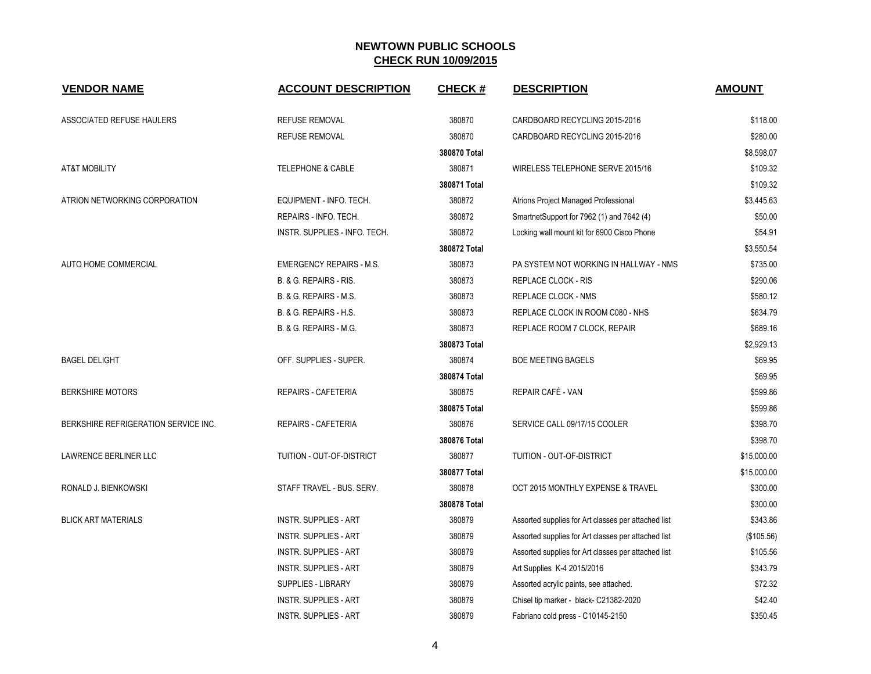| <b>VENDOR NAME</b>                   | <b>ACCOUNT DESCRIPTION</b>      | <b>CHECK#</b> | <b>DESCRIPTION</b>                                  | <b>AMOUNT</b> |
|--------------------------------------|---------------------------------|---------------|-----------------------------------------------------|---------------|
| ASSOCIATED REFUSE HAULERS            | <b>REFUSE REMOVAL</b>           | 380870        | CARDBOARD RECYCLING 2015-2016                       | \$118.00      |
|                                      | <b>REFUSE REMOVAL</b>           | 380870        | CARDBOARD RECYCLING 2015-2016                       | \$280.00      |
|                                      |                                 | 380870 Total  |                                                     | \$8,598.07    |
| <b>AT&amp;T MOBILITY</b>             | TELEPHONE & CABLE               | 380871        | WIRELESS TELEPHONE SERVE 2015/16                    | \$109.32      |
|                                      |                                 | 380871 Total  |                                                     | \$109.32      |
| ATRION NETWORKING CORPORATION        | EQUIPMENT - INFO. TECH.         | 380872        | Atrions Project Managed Professional                | \$3,445.63    |
|                                      | REPAIRS - INFO. TECH.           | 380872        | SmartnetSupport for 7962 (1) and 7642 (4)           | \$50.00       |
|                                      | INSTR. SUPPLIES - INFO. TECH.   | 380872        | Locking wall mount kit for 6900 Cisco Phone         | \$54.91       |
|                                      |                                 | 380872 Total  |                                                     | \$3,550.54    |
| AUTO HOME COMMERCIAL                 | <b>EMERGENCY REPAIRS - M.S.</b> | 380873        | PA SYSTEM NOT WORKING IN HALLWAY - NMS              | \$735.00      |
|                                      | B. & G. REPAIRS - RIS.          | 380873        | REPLACE CLOCK - RIS                                 | \$290.06      |
|                                      | B. & G. REPAIRS - M.S.          | 380873        | REPLACE CLOCK - NMS                                 | \$580.12      |
|                                      | B. & G. REPAIRS - H.S.          | 380873        | REPLACE CLOCK IN ROOM C080 - NHS                    | \$634.79      |
|                                      | B. & G. REPAIRS - M.G.          | 380873        | REPLACE ROOM 7 CLOCK, REPAIR                        | \$689.16      |
|                                      |                                 | 380873 Total  |                                                     | \$2,929.13    |
| <b>BAGEL DELIGHT</b>                 | OFF. SUPPLIES - SUPER.          | 380874        | <b>BOE MEETING BAGELS</b>                           | \$69.95       |
|                                      |                                 | 380874 Total  |                                                     | \$69.95       |
| <b>BERKSHIRE MOTORS</b>              | <b>REPAIRS - CAFETERIA</b>      | 380875        | REPAIR CAFÉ - VAN                                   | \$599.86      |
|                                      |                                 | 380875 Total  |                                                     | \$599.86      |
| BERKSHIRE REFRIGERATION SERVICE INC. | <b>REPAIRS - CAFETERIA</b>      | 380876        | SERVICE CALL 09/17/15 COOLER                        | \$398.70      |
|                                      |                                 | 380876 Total  |                                                     | \$398.70      |
| <b>LAWRENCE BERLINER LLC</b>         | TUITION - OUT-OF-DISTRICT       | 380877        | TUITION - OUT-OF-DISTRICT                           | \$15,000.00   |
|                                      |                                 | 380877 Total  |                                                     | \$15,000.00   |
| RONALD J. BIENKOWSKI                 | STAFF TRAVEL - BUS. SERV.       | 380878        | OCT 2015 MONTHLY EXPENSE & TRAVEL                   | \$300.00      |
|                                      |                                 | 380878 Total  |                                                     | \$300.00      |
| <b>BLICK ART MATERIALS</b>           | <b>INSTR. SUPPLIES - ART</b>    | 380879        | Assorted supplies for Art classes per attached list | \$343.86      |
|                                      | <b>INSTR. SUPPLIES - ART</b>    | 380879        | Assorted supplies for Art classes per attached list | (\$105.56)    |
|                                      | <b>INSTR. SUPPLIES - ART</b>    | 380879        | Assorted supplies for Art classes per attached list | \$105.56      |
|                                      | <b>INSTR. SUPPLIES - ART</b>    | 380879        | Art Supplies K-4 2015/2016                          | \$343.79      |
|                                      | <b>SUPPLIES - LIBRARY</b>       | 380879        | Assorted acrylic paints, see attached.              | \$72.32       |
|                                      | <b>INSTR. SUPPLIES - ART</b>    | 380879        | Chisel tip marker - black- C21382-2020              | \$42.40       |
|                                      | <b>INSTR. SUPPLIES - ART</b>    | 380879        | Fabriano cold press - C10145-2150                   | \$350.45      |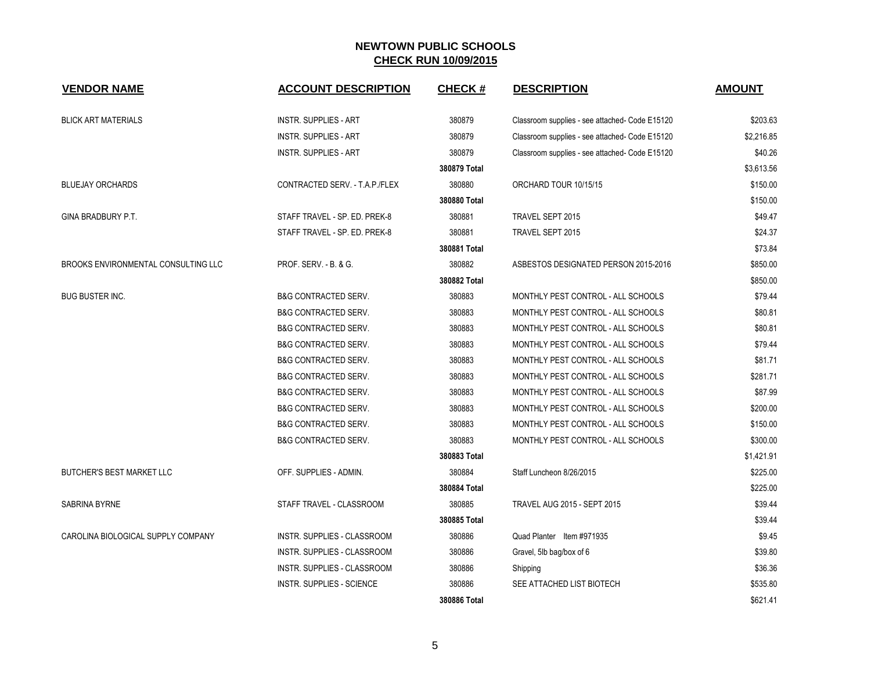| <b>VENDOR NAME</b>                  | <b>ACCOUNT DESCRIPTION</b>      | <b>CHECK#</b> | <b>DESCRIPTION</b>                             | <b>AMOUNT</b> |
|-------------------------------------|---------------------------------|---------------|------------------------------------------------|---------------|
| <b>BLICK ART MATERIALS</b>          | <b>INSTR. SUPPLIES - ART</b>    | 380879        | Classroom supplies - see attached- Code E15120 | \$203.63      |
|                                     | <b>INSTR. SUPPLIES - ART</b>    | 380879        | Classroom supplies - see attached- Code E15120 | \$2,216.85    |
|                                     | <b>INSTR. SUPPLIES - ART</b>    | 380879        | Classroom supplies - see attached- Code E15120 | \$40.26       |
|                                     |                                 | 380879 Total  |                                                | \$3,613.56    |
| <b>BLUEJAY ORCHARDS</b>             | CONTRACTED SERV. - T.A.P./FLEX  | 380880        | ORCHARD TOUR 10/15/15                          | \$150.00      |
|                                     |                                 | 380880 Total  |                                                | \$150.00      |
| <b>GINA BRADBURY P.T.</b>           | STAFF TRAVEL - SP. ED. PREK-8   | 380881        | TRAVEL SEPT 2015                               | \$49.47       |
|                                     | STAFF TRAVEL - SP. ED. PREK-8   | 380881        | TRAVEL SEPT 2015                               | \$24.37       |
|                                     |                                 | 380881 Total  |                                                | \$73.84       |
| BROOKS ENVIRONMENTAL CONSULTING LLC | PROF. SERV. - B. & G.           | 380882        | ASBESTOS DESIGNATED PERSON 2015-2016           | \$850.00      |
|                                     |                                 | 380882 Total  |                                                | \$850.00      |
| <b>BUG BUSTER INC.</b>              | <b>B&amp;G CONTRACTED SERV.</b> | 380883        | MONTHLY PEST CONTROL - ALL SCHOOLS             | \$79.44       |
|                                     | <b>B&amp;G CONTRACTED SERV.</b> | 380883        | MONTHLY PEST CONTROL - ALL SCHOOLS             | \$80.81       |
|                                     | <b>B&amp;G CONTRACTED SERV.</b> | 380883        | MONTHLY PEST CONTROL - ALL SCHOOLS             | \$80.81       |
|                                     | <b>B&amp;G CONTRACTED SERV.</b> | 380883        | MONTHLY PEST CONTROL - ALL SCHOOLS             | \$79.44       |
|                                     | <b>B&amp;G CONTRACTED SERV.</b> | 380883        | MONTHLY PEST CONTROL - ALL SCHOOLS             | \$81.71       |
|                                     | <b>B&amp;G CONTRACTED SERV.</b> | 380883        | MONTHLY PEST CONTROL - ALL SCHOOLS             | \$281.71      |
|                                     | <b>B&amp;G CONTRACTED SERV.</b> | 380883        | MONTHLY PEST CONTROL - ALL SCHOOLS             | \$87.99       |
|                                     | <b>B&amp;G CONTRACTED SERV.</b> | 380883        | MONTHLY PEST CONTROL - ALL SCHOOLS             | \$200.00      |
|                                     | <b>B&amp;G CONTRACTED SERV.</b> | 380883        | MONTHLY PEST CONTROL - ALL SCHOOLS             | \$150.00      |
|                                     | <b>B&amp;G CONTRACTED SERV.</b> | 380883        | MONTHLY PEST CONTROL - ALL SCHOOLS             | \$300.00      |
|                                     |                                 | 380883 Total  |                                                | \$1,421.91    |
| <b>BUTCHER'S BEST MARKET LLC</b>    | OFF. SUPPLIES - ADMIN.          | 380884        | Staff Luncheon 8/26/2015                       | \$225.00      |
|                                     |                                 | 380884 Total  |                                                | \$225.00      |
| SABRINA BYRNE                       | STAFF TRAVEL - CLASSROOM        | 380885        | <b>TRAVEL AUG 2015 - SEPT 2015</b>             | \$39.44       |
|                                     |                                 | 380885 Total  |                                                | \$39.44       |
| CAROLINA BIOLOGICAL SUPPLY COMPANY  | INSTR. SUPPLIES - CLASSROOM     | 380886        | Quad Planter Item #971935                      | \$9.45        |
|                                     | INSTR. SUPPLIES - CLASSROOM     | 380886        | Gravel, 5lb bag/box of 6                       | \$39.80       |
|                                     | INSTR. SUPPLIES - CLASSROOM     | 380886        | Shipping                                       | \$36.36       |
|                                     | INSTR. SUPPLIES - SCIENCE       | 380886        | SEE ATTACHED LIST BIOTECH                      | \$535.80      |
|                                     |                                 | 380886 Total  |                                                | \$621.41      |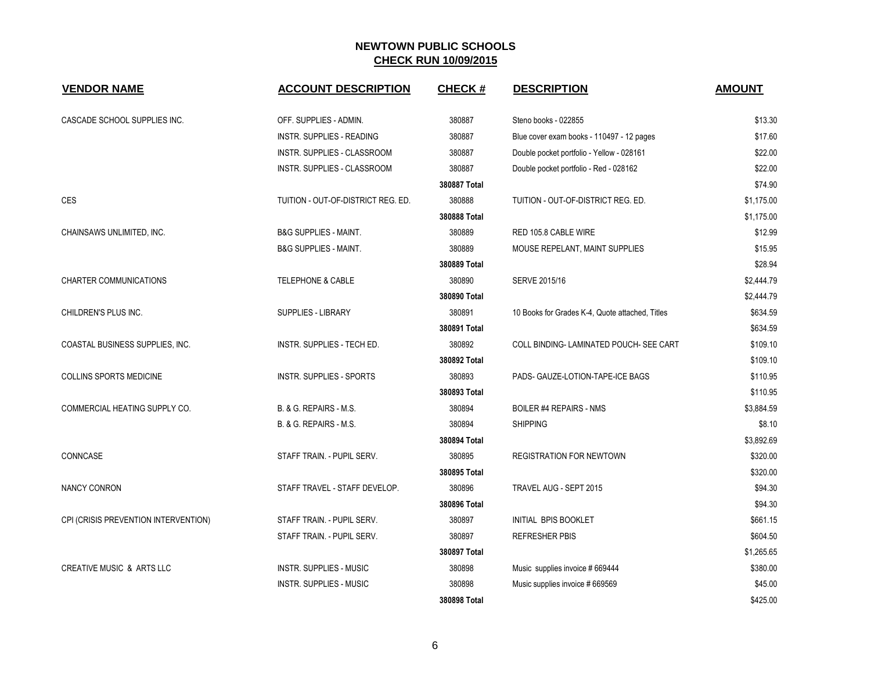| <b>VENDOR NAME</b>                   | <b>ACCOUNT DESCRIPTION</b>         | <b>CHECK#</b> | <b>DESCRIPTION</b>                              | <b>AMOUNT</b> |
|--------------------------------------|------------------------------------|---------------|-------------------------------------------------|---------------|
| CASCADE SCHOOL SUPPLIES INC.         | OFF. SUPPLIES - ADMIN.             | 380887        | Steno books - 022855                            | \$13.30       |
|                                      | INSTR. SUPPLIES - READING          | 380887        | Blue cover exam books - 110497 - 12 pages       | \$17.60       |
|                                      | INSTR. SUPPLIES - CLASSROOM        | 380887        | Double pocket portfolio - Yellow - 028161       | \$22.00       |
|                                      | INSTR. SUPPLIES - CLASSROOM        | 380887        | Double pocket portfolio - Red - 028162          | \$22.00       |
|                                      |                                    | 380887 Total  |                                                 | \$74.90       |
| <b>CES</b>                           | TUITION - OUT-OF-DISTRICT REG. ED. | 380888        | TUITION - OUT-OF-DISTRICT REG. ED.              | \$1,175.00    |
|                                      |                                    | 380888 Total  |                                                 | \$1,175.00    |
| CHAINSAWS UNLIMITED, INC.            | <b>B&amp;G SUPPLIES - MAINT.</b>   | 380889        | RED 105.8 CABLE WIRE                            | \$12.99       |
|                                      | <b>B&amp;G SUPPLIES - MAINT.</b>   | 380889        | MOUSE REPELANT, MAINT SUPPLIES                  | \$15.95       |
|                                      |                                    | 380889 Total  |                                                 | \$28.94       |
| CHARTER COMMUNICATIONS               | <b>TELEPHONE &amp; CABLE</b>       | 380890        | SERVE 2015/16                                   | \$2,444.79    |
|                                      |                                    | 380890 Total  |                                                 | \$2,444.79    |
| CHILDREN'S PLUS INC.                 | SUPPLIES - LIBRARY                 | 380891        | 10 Books for Grades K-4, Quote attached, Titles | \$634.59      |
|                                      |                                    | 380891 Total  |                                                 | \$634.59      |
| COASTAL BUSINESS SUPPLIES, INC.      | <b>INSTR. SUPPLIES - TECH ED.</b>  | 380892        | COLL BINDING-LAMINATED POUCH- SEE CART          | \$109.10      |
|                                      |                                    | 380892 Total  |                                                 | \$109.10      |
| COLLINS SPORTS MEDICINE              | INSTR. SUPPLIES - SPORTS           | 380893        | PADS- GAUZE-LOTION-TAPE-ICE BAGS                | \$110.95      |
|                                      |                                    | 380893 Total  |                                                 | \$110.95      |
| COMMERCIAL HEATING SUPPLY CO.        | B. & G. REPAIRS - M.S.             | 380894        | <b>BOILER #4 REPAIRS - NMS</b>                  | \$3,884.59    |
|                                      | B. & G. REPAIRS - M.S.             | 380894        | <b>SHIPPING</b>                                 | \$8.10        |
|                                      |                                    | 380894 Total  |                                                 | \$3,892.69    |
| CONNCASE                             | STAFF TRAIN - PUPIL SERV.          | 380895        | <b>REGISTRATION FOR NEWTOWN</b>                 | \$320.00      |
|                                      |                                    | 380895 Total  |                                                 | \$320.00      |
| <b>NANCY CONRON</b>                  | STAFF TRAVEL - STAFF DEVELOP.      | 380896        | TRAVEL AUG - SEPT 2015                          | \$94.30       |
|                                      |                                    | 380896 Total  |                                                 | \$94.30       |
| CPI (CRISIS PREVENTION INTERVENTION) | STAFF TRAIN - PUPIL SERV.          | 380897        | INITIAL BPIS BOOKLET                            | \$661.15      |
|                                      | STAFF TRAIN - PUPIL SERV.          | 380897        | <b>REFRESHER PBIS</b>                           | \$604.50      |
|                                      |                                    | 380897 Total  |                                                 | \$1,265.65    |
| <b>CREATIVE MUSIC &amp; ARTS LLC</b> | <b>INSTR. SUPPLIES - MUSIC</b>     | 380898        | Music supplies invoice #669444                  | \$380.00      |
|                                      | <b>INSTR. SUPPLIES - MUSIC</b>     | 380898        | Music supplies invoice # 669569                 | \$45.00       |
|                                      |                                    | 380898 Total  |                                                 | \$425.00      |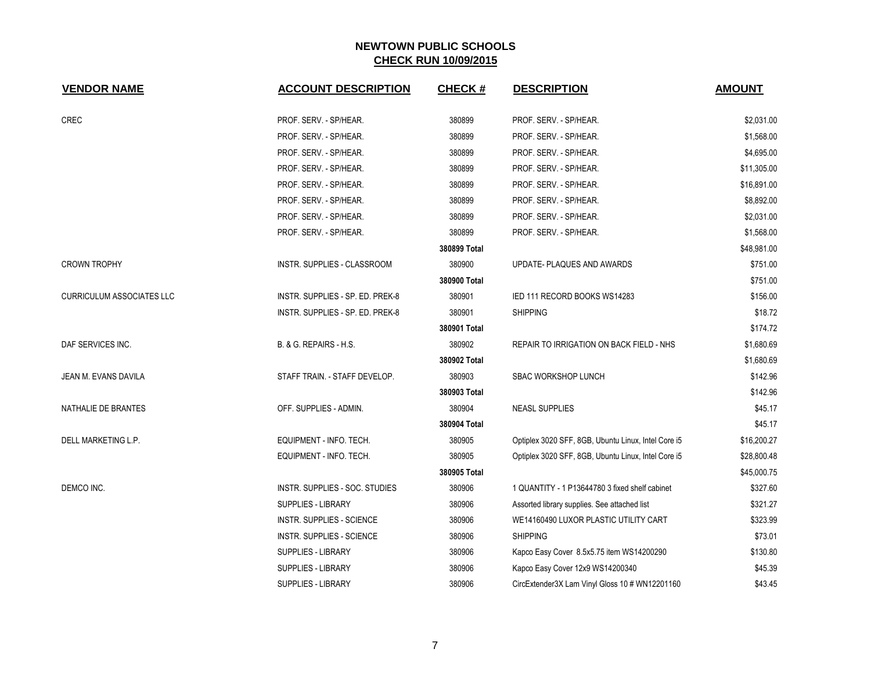| <b>VENDOR NAME</b>        | <b>ACCOUNT DESCRIPTION</b>         | <b>CHECK#</b> | <b>DESCRIPTION</b>                                  | <b>AMOUNT</b> |
|---------------------------|------------------------------------|---------------|-----------------------------------------------------|---------------|
| <b>CREC</b>               | PROF. SERV. - SP/HEAR.             | 380899        | PROF. SERV. - SP/HEAR.                              | \$2,031.00    |
|                           | PROF. SERV. - SP/HEAR.             | 380899        | PROF. SERV. - SP/HEAR.                              | \$1,568.00    |
|                           | PROF. SERV. - SP/HEAR.             | 380899        | PROF. SERV. - SP/HEAR.                              | \$4,695.00    |
|                           | PROF. SERV. - SP/HEAR.             | 380899        | PROF. SERV. - SP/HEAR.                              | \$11,305.00   |
|                           | PROF. SERV. - SP/HEAR.             | 380899        | PROF. SERV. - SP/HEAR.                              | \$16,891.00   |
|                           | PROF. SERV. - SP/HEAR.             | 380899        | PROF. SERV. - SP/HEAR.                              | \$8,892.00    |
|                           | PROF. SERV. - SP/HEAR.             | 380899        | PROF. SERV. - SP/HEAR.                              | \$2,031.00    |
|                           | PROF. SERV. - SP/HEAR.             | 380899        | PROF. SERV. - SP/HEAR.                              | \$1,568.00    |
|                           |                                    | 380899 Total  |                                                     | \$48,981.00   |
| <b>CROWN TROPHY</b>       | <b>INSTR. SUPPLIES - CLASSROOM</b> | 380900        | UPDATE- PLAQUES AND AWARDS                          | \$751.00      |
|                           |                                    | 380900 Total  |                                                     | \$751.00      |
| CURRICULUM ASSOCIATES LLC | INSTR. SUPPLIES - SP. ED. PREK-8   | 380901        | IED 111 RECORD BOOKS WS14283                        | \$156.00      |
|                           | INSTR. SUPPLIES - SP. ED. PREK-8   | 380901        | <b>SHIPPING</b>                                     | \$18.72       |
|                           |                                    | 380901 Total  |                                                     | \$174.72      |
| DAF SERVICES INC.         | B. & G. REPAIRS - H.S.             | 380902        | REPAIR TO IRRIGATION ON BACK FIELD - NHS            | \$1,680.69    |
|                           |                                    | 380902 Total  |                                                     | \$1,680.69    |
| JEAN M. EVANS DAVILA      | STAFF TRAIN. - STAFF DEVELOP.      | 380903        | <b>SBAC WORKSHOP LUNCH</b>                          | \$142.96      |
|                           |                                    | 380903 Total  |                                                     | \$142.96      |
| NATHALIE DE BRANTES       | OFF. SUPPLIES - ADMIN.             | 380904        | <b>NEASL SUPPLIES</b>                               | \$45.17       |
|                           |                                    | 380904 Total  |                                                     | \$45.17       |
| DELL MARKETING L.P.       | EQUIPMENT - INFO. TECH.            | 380905        | Optiplex 3020 SFF, 8GB, Ubuntu Linux, Intel Core i5 | \$16,200.27   |
|                           | EQUIPMENT - INFO. TECH.            | 380905        | Optiplex 3020 SFF, 8GB, Ubuntu Linux, Intel Core i5 | \$28,800.48   |
|                           |                                    | 380905 Total  |                                                     | \$45,000.75   |
| DEMCO INC.                | INSTR. SUPPLIES - SOC. STUDIES     | 380906        | 1 QUANTITY - 1 P13644780 3 fixed shelf cabinet      | \$327.60      |
|                           | <b>SUPPLIES - LIBRARY</b>          | 380906        | Assorted library supplies. See attached list        | \$321.27      |
|                           | <b>INSTR. SUPPLIES - SCIENCE</b>   | 380906        | WE14160490 LUXOR PLASTIC UTILITY CART               | \$323.99      |
|                           | <b>INSTR. SUPPLIES - SCIENCE</b>   | 380906        | <b>SHIPPING</b>                                     | \$73.01       |
|                           | <b>SUPPLIES - LIBRARY</b>          | 380906        | Kapco Easy Cover 8.5x5.75 item WS14200290           | \$130.80      |
|                           | <b>SUPPLIES - LIBRARY</b>          | 380906        | Kapco Easy Cover 12x9 WS14200340                    | \$45.39       |
|                           | <b>SUPPLIES - LIBRARY</b>          | 380906        | CircExtender3X Lam Vinyl Gloss 10 # WN12201160      | \$43.45       |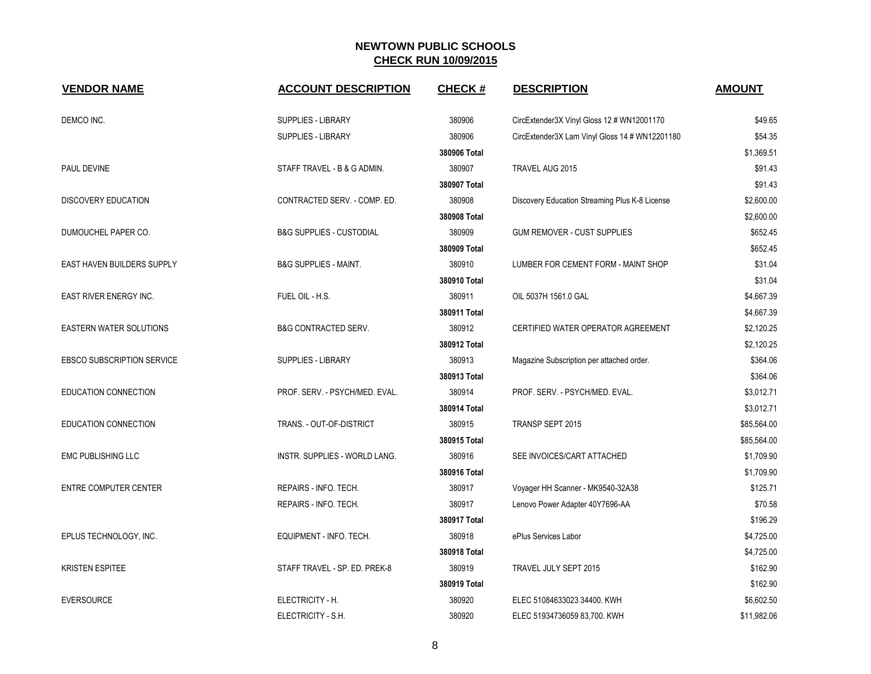| <b>VENDOR NAME</b>                | <b>ACCOUNT DESCRIPTION</b>          | <b>CHECK#</b> | <b>DESCRIPTION</b>                             | <b>AMOUNT</b> |
|-----------------------------------|-------------------------------------|---------------|------------------------------------------------|---------------|
| DEMCO INC.                        | SUPPLIES - LIBRARY                  | 380906        | CircExtender3X Vinyl Gloss 12 # WN12001170     | \$49.65       |
|                                   | <b>SUPPLIES - LIBRARY</b>           | 380906        | CircExtender3X Lam Vinyl Gloss 14 # WN12201180 | \$54.35       |
|                                   |                                     | 380906 Total  |                                                | \$1,369.51    |
| PAUL DEVINE                       | STAFF TRAVEL - B & G ADMIN.         | 380907        | TRAVEL AUG 2015                                | \$91.43       |
|                                   |                                     | 380907 Total  |                                                | \$91.43       |
| <b>DISCOVERY EDUCATION</b>        | CONTRACTED SERV. - COMP. ED.        | 380908        | Discovery Education Streaming Plus K-8 License | \$2,600.00    |
|                                   |                                     | 380908 Total  |                                                | \$2,600.00    |
| DUMOUCHEL PAPER CO.               | <b>B&amp;G SUPPLIES - CUSTODIAL</b> | 380909        | <b>GUM REMOVER - CUST SUPPLIES</b>             | \$652.45      |
|                                   |                                     | 380909 Total  |                                                | \$652.45      |
| EAST HAVEN BUILDERS SUPPLY        | <b>B&amp;G SUPPLIES - MAINT.</b>    | 380910        | LUMBER FOR CEMENT FORM - MAINT SHOP            | \$31.04       |
|                                   |                                     | 380910 Total  |                                                | \$31.04       |
| <b>EAST RIVER ENERGY INC.</b>     | FUEL OIL - H.S.                     | 380911        | OIL 5037H 1561.0 GAL                           | \$4,667.39    |
|                                   |                                     | 380911 Total  |                                                | \$4,667.39    |
| EASTERN WATER SOLUTIONS           | <b>B&amp;G CONTRACTED SERV.</b>     | 380912        | CERTIFIED WATER OPERATOR AGREEMENT             | \$2,120.25    |
|                                   |                                     | 380912 Total  |                                                | \$2,120.25    |
| <b>EBSCO SUBSCRIPTION SERVICE</b> | SUPPLIES - LIBRARY                  | 380913        | Magazine Subscription per attached order.      | \$364.06      |
|                                   |                                     | 380913 Total  |                                                | \$364.06      |
| EDUCATION CONNECTION              | PROF. SERV. - PSYCH/MED. EVAL.      | 380914        | PROF. SERV. - PSYCH/MED. EVAL.                 | \$3,012.71    |
|                                   |                                     | 380914 Total  |                                                | \$3,012.71    |
| EDUCATION CONNECTION              | TRANS. - OUT-OF-DISTRICT            | 380915        | TRANSP SEPT 2015                               | \$85,564.00   |
|                                   |                                     | 380915 Total  |                                                | \$85,564.00   |
| <b>EMC PUBLISHING LLC</b>         | INSTR. SUPPLIES - WORLD LANG.       | 380916        | SEE INVOICES/CART ATTACHED                     | \$1,709.90    |
|                                   |                                     | 380916 Total  |                                                | \$1,709.90    |
| ENTRE COMPUTER CENTER             | REPAIRS - INFO. TECH.               | 380917        | Voyager HH Scanner - MK9540-32A38              | \$125.71      |
|                                   | REPAIRS - INFO. TECH.               | 380917        | Lenovo Power Adapter 40Y7696-AA                | \$70.58       |
|                                   |                                     | 380917 Total  |                                                | \$196.29      |
| EPLUS TECHNOLOGY, INC.            | EQUIPMENT - INFO. TECH.             | 380918        | ePlus Services Labor                           | \$4,725.00    |
|                                   |                                     | 380918 Total  |                                                | \$4,725.00    |
| <b>KRISTEN ESPITEE</b>            | STAFF TRAVEL - SP. ED. PREK-8       | 380919        | TRAVEL JULY SEPT 2015                          | \$162.90      |
|                                   |                                     | 380919 Total  |                                                | \$162.90      |
| <b>EVERSOURCE</b>                 | ELECTRICITY - H.                    | 380920        | ELEC 51084633023 34400. KWH                    | \$6,602.50    |
|                                   | ELECTRICITY - S.H.                  | 380920        | ELEC 51934736059 83,700. KWH                   | \$11,982.06   |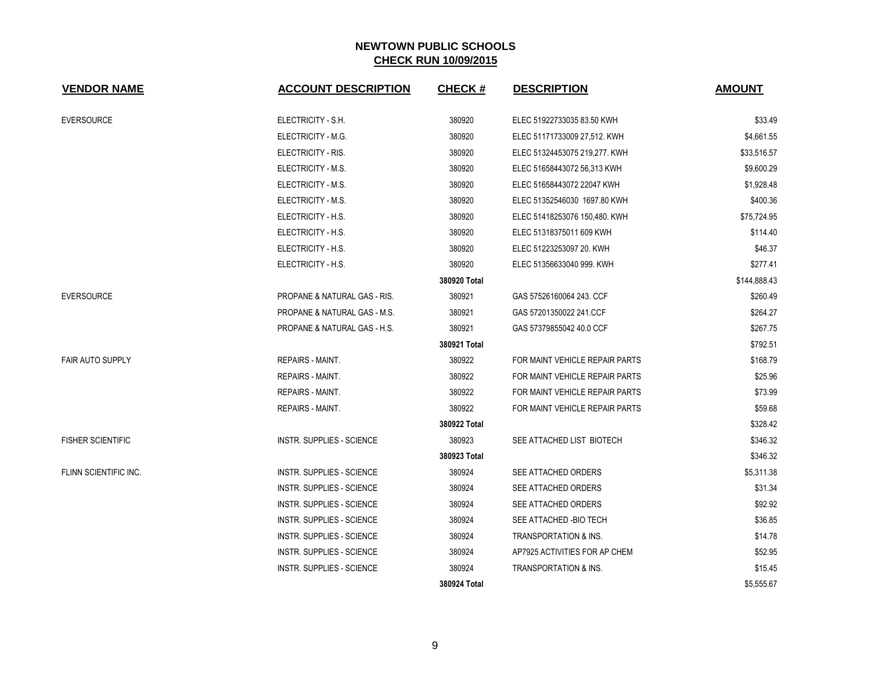| <b>VENDOR NAME</b>       | <b>ACCOUNT DESCRIPTION</b>              | <b>CHECK#</b> | <b>DESCRIPTION</b>               | <b>AMOUNT</b> |
|--------------------------|-----------------------------------------|---------------|----------------------------------|---------------|
| <b>EVERSOURCE</b>        | ELECTRICITY - S.H.                      | 380920        | ELEC 51922733035 83.50 KWH       | \$33.49       |
|                          | ELECTRICITY - M.G.                      | 380920        | ELEC 51171733009 27,512. KWH     | \$4,661.55    |
|                          | ELECTRICITY - RIS.                      | 380920        | ELEC 51324453075 219,277. KWH    | \$33,516.57   |
|                          | ELECTRICITY - M.S.                      | 380920        | ELEC 51658443072 56,313 KWH      | \$9,600.29    |
|                          | ELECTRICITY - M.S.                      | 380920        | ELEC 51658443072 22047 KWH       | \$1,928.48    |
|                          | ELECTRICITY - M.S.                      | 380920        | ELEC 51352546030 1697.80 KWH     | \$400.36      |
|                          | ELECTRICITY - H.S.                      | 380920        | ELEC 51418253076 150,480. KWH    | \$75,724.95   |
|                          | ELECTRICITY - H.S.                      | 380920        | ELEC 51318375011 609 KWH         | \$114.40      |
|                          | ELECTRICITY - H.S.                      | 380920        | ELEC 51223253097 20. KWH         | \$46.37       |
|                          | ELECTRICITY - H.S.                      | 380920        | ELEC 51356633040 999. KWH        | \$277.41      |
|                          |                                         | 380920 Total  |                                  | \$144,888.43  |
| <b>EVERSOURCE</b>        | <b>PROPANE &amp; NATURAL GAS - RIS.</b> | 380921        | GAS 57526160064 243. CCF         | \$260.49      |
|                          | PROPANE & NATURAL GAS - M.S.            | 380921        | GAS 57201350022 241 CCF          | \$264.27      |
|                          | PROPANE & NATURAL GAS - H.S.            | 380921        | GAS 57379855042 40.0 CCF         | \$267.75      |
|                          |                                         | 380921 Total  |                                  | \$792.51      |
| <b>FAIR AUTO SUPPLY</b>  | <b>REPAIRS - MAINT.</b>                 | 380922        | FOR MAINT VEHICLE REPAIR PARTS   | \$168.79      |
|                          | <b>REPAIRS - MAINT.</b>                 | 380922        | FOR MAINT VEHICLE REPAIR PARTS   | \$25.96       |
|                          | <b>REPAIRS - MAINT.</b>                 | 380922        | FOR MAINT VEHICLE REPAIR PARTS   | \$73.99       |
|                          | REPAIRS - MAINT.                        | 380922        | FOR MAINT VEHICLE REPAIR PARTS   | \$59.68       |
|                          |                                         | 380922 Total  |                                  | \$328.42      |
| <b>FISHER SCIENTIFIC</b> | <b>INSTR. SUPPLIES - SCIENCE</b>        | 380923        | SEE ATTACHED LIST BIOTECH        | \$346.32      |
|                          |                                         | 380923 Total  |                                  | \$346.32      |
| FLINN SCIENTIFIC INC.    | <b>INSTR. SUPPLIES - SCIENCE</b>        | 380924        | SEE ATTACHED ORDERS              | \$5,311.38    |
|                          | INSTR. SUPPLIES - SCIENCE               | 380924        | SEE ATTACHED ORDERS              | \$31.34       |
|                          | <b>INSTR. SUPPLIES - SCIENCE</b>        | 380924        | SEE ATTACHED ORDERS              | \$92.92       |
|                          | INSTR. SUPPLIES - SCIENCE               | 380924        | SEE ATTACHED - BIO TECH          | \$36.85       |
|                          | INSTR. SUPPLIES - SCIENCE               | 380924        | TRANSPORTATION & INS.            | \$14.78       |
|                          | INSTR. SUPPLIES - SCIENCE               | 380924        | AP7925 ACTIVITIES FOR AP CHEM    | \$52.95       |
|                          | <b>INSTR. SUPPLIES - SCIENCE</b>        | 380924        | <b>TRANSPORTATION &amp; INS.</b> | \$15.45       |
|                          |                                         | 380924 Total  |                                  | \$5,555.67    |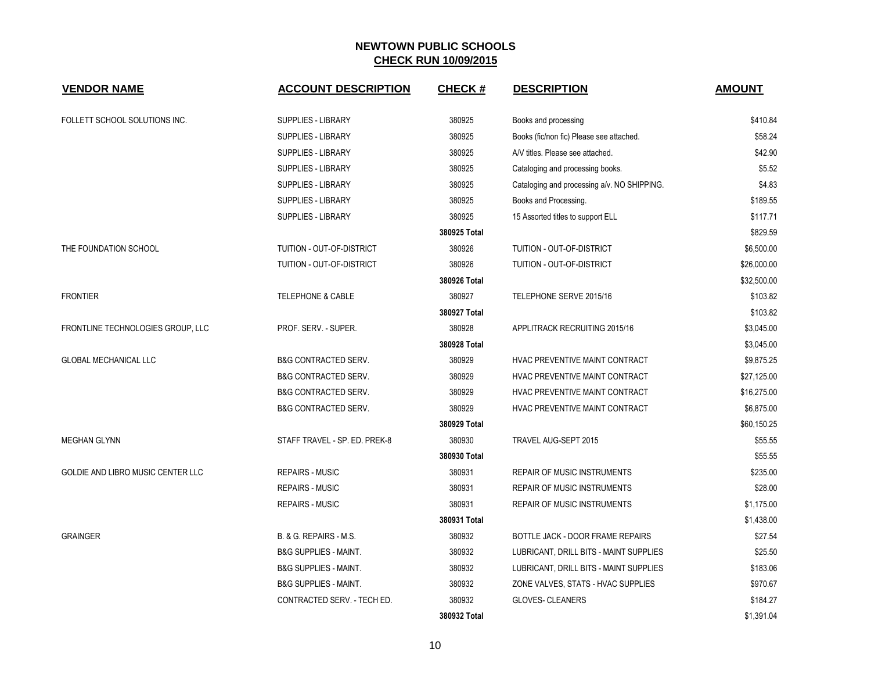| <b>VENDOR NAME</b>                       | <b>ACCOUNT DESCRIPTION</b>       | <b>CHECK#</b> | <b>DESCRIPTION</b>                          | <b>AMOUNT</b> |
|------------------------------------------|----------------------------------|---------------|---------------------------------------------|---------------|
| FOLLETT SCHOOL SOLUTIONS INC.            | <b>SUPPLIES - LIBRARY</b>        | 380925        | Books and processing                        | \$410.84      |
|                                          | SUPPLIES - LIBRARY               | 380925        | Books (fic/non fic) Please see attached.    | \$58.24       |
|                                          | SUPPLIES - LIBRARY               | 380925        | A/V titles. Please see attached.            | \$42.90       |
|                                          | <b>SUPPLIES - LIBRARY</b>        | 380925        | Cataloging and processing books.            | \$5.52        |
|                                          | <b>SUPPLIES - LIBRARY</b>        | 380925        | Cataloging and processing a/v. NO SHIPPING. | \$4.83        |
|                                          | <b>SUPPLIES - LIBRARY</b>        | 380925        | Books and Processing.                       | \$189.55      |
|                                          | SUPPLIES - LIBRARY               | 380925        | 15 Assorted titles to support ELL           | \$117.71      |
|                                          |                                  | 380925 Total  |                                             | \$829.59      |
| THE FOUNDATION SCHOOL                    | TUITION - OUT-OF-DISTRICT        | 380926        | TUITION - OUT-OF-DISTRICT                   | \$6,500.00    |
|                                          | TUITION - OUT-OF-DISTRICT        | 380926        | TUITION - OUT-OF-DISTRICT                   | \$26,000.00   |
|                                          |                                  | 380926 Total  |                                             | \$32,500.00   |
| <b>FRONTIER</b>                          | <b>TELEPHONE &amp; CABLE</b>     | 380927        | TELEPHONE SERVE 2015/16                     | \$103.82      |
|                                          |                                  | 380927 Total  |                                             | \$103.82      |
| FRONTLINE TECHNOLOGIES GROUP, LLC        | PROF. SERV. - SUPER.             | 380928        | APPLITRACK RECRUITING 2015/16               | \$3,045.00    |
|                                          |                                  | 380928 Total  |                                             | \$3,045.00    |
| GLOBAL MECHANICAL LLC                    | <b>B&amp;G CONTRACTED SERV.</b>  | 380929        | HVAC PREVENTIVE MAINT CONTRACT              | \$9,875.25    |
|                                          | <b>B&amp;G CONTRACTED SERV.</b>  | 380929        | HVAC PREVENTIVE MAINT CONTRACT              | \$27,125.00   |
|                                          | <b>B&amp;G CONTRACTED SERV.</b>  | 380929        | HVAC PREVENTIVE MAINT CONTRACT              | \$16,275.00   |
|                                          | <b>B&amp;G CONTRACTED SERV.</b>  | 380929        | HVAC PREVENTIVE MAINT CONTRACT              | \$6,875.00    |
|                                          |                                  | 380929 Total  |                                             | \$60,150.25   |
| <b>MEGHAN GLYNN</b>                      | STAFF TRAVEL - SP. ED. PREK-8    | 380930        | TRAVEL AUG-SEPT 2015                        | \$55.55       |
|                                          |                                  | 380930 Total  |                                             | \$55.55       |
| <b>GOLDIE AND LIBRO MUSIC CENTER LLC</b> | <b>REPAIRS - MUSIC</b>           | 380931        | <b>REPAIR OF MUSIC INSTRUMENTS</b>          | \$235.00      |
|                                          | <b>REPAIRS - MUSIC</b>           | 380931        | <b>REPAIR OF MUSIC INSTRUMENTS</b>          | \$28.00       |
|                                          | <b>REPAIRS - MUSIC</b>           | 380931        | <b>REPAIR OF MUSIC INSTRUMENTS</b>          | \$1,175.00    |
|                                          |                                  | 380931 Total  |                                             | \$1,438.00    |
| <b>GRAINGER</b>                          | B. & G. REPAIRS - M.S.           | 380932        | BOTTLE JACK - DOOR FRAME REPAIRS            | \$27.54       |
|                                          | <b>B&amp;G SUPPLIES - MAINT.</b> | 380932        | LUBRICANT, DRILL BITS - MAINT SUPPLIES      | \$25.50       |
|                                          | <b>B&amp;G SUPPLIES - MAINT.</b> | 380932        | LUBRICANT, DRILL BITS - MAINT SUPPLIES      | \$183.06      |
|                                          | <b>B&amp;G SUPPLIES - MAINT.</b> | 380932        | ZONE VALVES, STATS - HVAC SUPPLIES          | \$970.67      |
|                                          | CONTRACTED SERV. - TECH ED.      | 380932        | <b>GLOVES- CLEANERS</b>                     | \$184.27      |
|                                          |                                  | 380932 Total  |                                             | \$1,391.04    |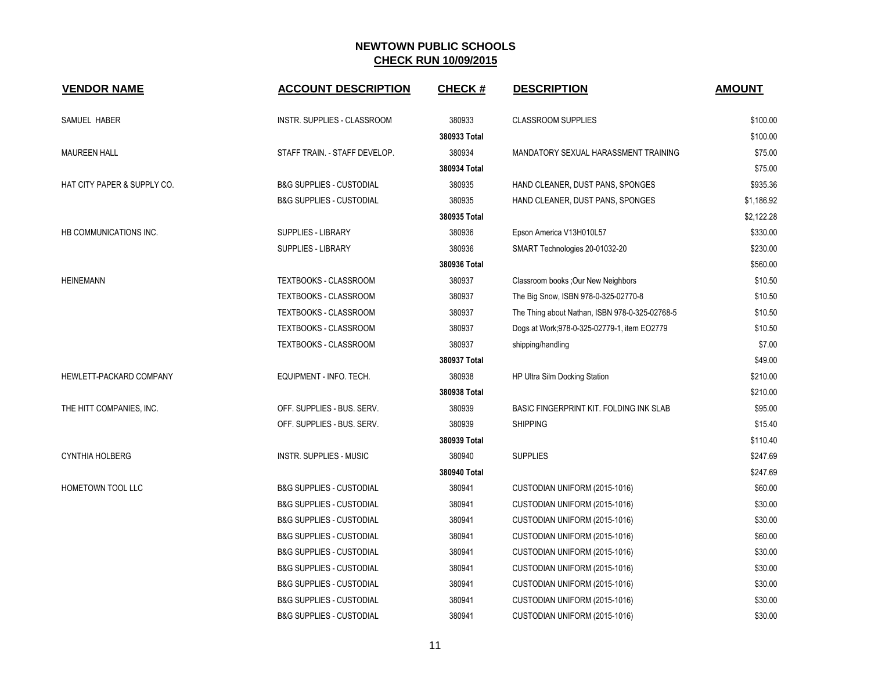| <b>VENDOR NAME</b>          | <b>ACCOUNT DESCRIPTION</b>          | <b>CHECK#</b> | <b>DESCRIPTION</b>                             | <b>AMOUNT</b> |
|-----------------------------|-------------------------------------|---------------|------------------------------------------------|---------------|
| SAMUEL HABER                | INSTR. SUPPLIES - CLASSROOM         | 380933        | <b>CLASSROOM SUPPLIES</b>                      | \$100.00      |
|                             |                                     | 380933 Total  |                                                | \$100.00      |
| <b>MAUREEN HALL</b>         | STAFF TRAIN. - STAFF DEVELOP.       | 380934        | MANDATORY SEXUAL HARASSMENT TRAINING           | \$75.00       |
|                             |                                     | 380934 Total  |                                                | \$75.00       |
| HAT CITY PAPER & SUPPLY CO. | <b>B&amp;G SUPPLIES - CUSTODIAL</b> | 380935        | HAND CLEANER, DUST PANS, SPONGES               | \$935.36      |
|                             | <b>B&amp;G SUPPLIES - CUSTODIAL</b> | 380935        | HAND CLEANER, DUST PANS, SPONGES               | \$1,186.92    |
|                             |                                     | 380935 Total  |                                                | \$2,122.28    |
| HB COMMUNICATIONS INC.      | SUPPLIES - LIBRARY                  | 380936        | Epson America V13H010L57                       | \$330.00      |
|                             | <b>SUPPLIES - LIBRARY</b>           | 380936        | SMART Technologies 20-01032-20                 | \$230.00      |
|                             |                                     | 380936 Total  |                                                | \$560.00      |
| <b>HEINEMANN</b>            | TEXTBOOKS - CLASSROOM               | 380937        | Classroom books ; Our New Neighbors            | \$10.50       |
|                             | TEXTBOOKS - CLASSROOM               | 380937        | The Big Snow, ISBN 978-0-325-02770-8           | \$10.50       |
|                             | TEXTBOOKS - CLASSROOM               | 380937        | The Thing about Nathan, ISBN 978-0-325-02768-5 | \$10.50       |
|                             | TEXTBOOKS - CLASSROOM               | 380937        | Dogs at Work;978-0-325-02779-1, item EO2779    | \$10.50       |
|                             | TEXTBOOKS - CLASSROOM               | 380937        | shipping/handling                              | \$7.00        |
|                             |                                     | 380937 Total  |                                                | \$49.00       |
| HEWLETT-PACKARD COMPANY     | EQUIPMENT - INFO. TECH.             | 380938        | HP Ultra Silm Docking Station                  | \$210.00      |
|                             |                                     | 380938 Total  |                                                | \$210.00      |
| THE HITT COMPANIES, INC.    | OFF. SUPPLIES - BUS. SERV.          | 380939        | BASIC FINGERPRINT KIT. FOLDING INK SLAB        | \$95.00       |
|                             | OFF. SUPPLIES - BUS. SERV.          | 380939        | <b>SHIPPING</b>                                | \$15.40       |
|                             |                                     | 380939 Total  |                                                | \$110.40      |
| <b>CYNTHIA HOLBERG</b>      | <b>INSTR. SUPPLIES - MUSIC</b>      | 380940        | <b>SUPPLIES</b>                                | \$247.69      |
|                             |                                     | 380940 Total  |                                                | \$247.69      |
| HOMETOWN TOOL LLC           | <b>B&amp;G SUPPLIES - CUSTODIAL</b> | 380941        | CUSTODIAN UNIFORM (2015-1016)                  | \$60.00       |
|                             | <b>B&amp;G SUPPLIES - CUSTODIAL</b> | 380941        | CUSTODIAN UNIFORM (2015-1016)                  | \$30.00       |
|                             | <b>B&amp;G SUPPLIES - CUSTODIAL</b> | 380941        | CUSTODIAN UNIFORM (2015-1016)                  | \$30.00       |
|                             | <b>B&amp;G SUPPLIES - CUSTODIAL</b> | 380941        | CUSTODIAN UNIFORM (2015-1016)                  | \$60.00       |
|                             | <b>B&amp;G SUPPLIES - CUSTODIAL</b> | 380941        | CUSTODIAN UNIFORM (2015-1016)                  | \$30.00       |
|                             | <b>B&amp;G SUPPLIES - CUSTODIAL</b> | 380941        | CUSTODIAN UNIFORM (2015-1016)                  | \$30.00       |
|                             | <b>B&amp;G SUPPLIES - CUSTODIAL</b> | 380941        | CUSTODIAN UNIFORM (2015-1016)                  | \$30.00       |
|                             | <b>B&amp;G SUPPLIES - CUSTODIAL</b> | 380941        | CUSTODIAN UNIFORM (2015-1016)                  | \$30.00       |
|                             | <b>B&amp;G SUPPLIES - CUSTODIAL</b> | 380941        | CUSTODIAN UNIFORM (2015-1016)                  | \$30.00       |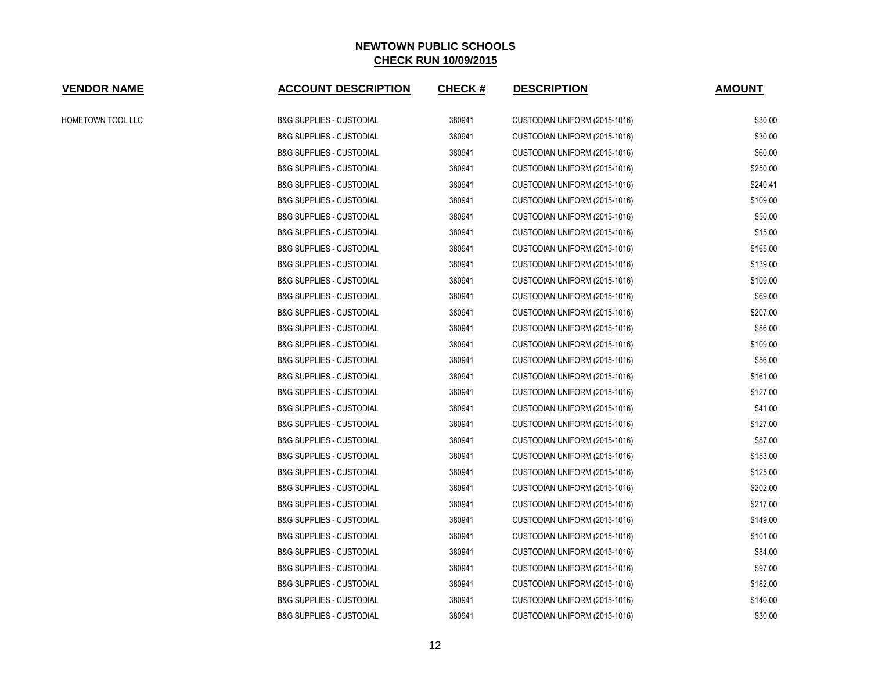| <b>VENDOR NAME</b> | <b>ACCOUNT DESCRIPTION</b>          | <b>CHECK#</b> | <b>DESCRIPTION</b>            | <b>AMOUNT</b> |
|--------------------|-------------------------------------|---------------|-------------------------------|---------------|
| HOMETOWN TOOL LLC  | <b>B&amp;G SUPPLIES - CUSTODIAL</b> | 380941        | CUSTODIAN UNIFORM (2015-1016) | \$30.00       |
|                    | <b>B&amp;G SUPPLIES - CUSTODIAL</b> | 380941        | CUSTODIAN UNIFORM (2015-1016) | \$30.00       |
|                    | <b>B&amp;G SUPPLIES - CUSTODIAL</b> | 380941        | CUSTODIAN UNIFORM (2015-1016) | \$60.00       |
|                    | <b>B&amp;G SUPPLIES - CUSTODIAL</b> | 380941        | CUSTODIAN UNIFORM (2015-1016) | \$250.00      |
|                    | <b>B&amp;G SUPPLIES - CUSTODIAL</b> | 380941        | CUSTODIAN UNIFORM (2015-1016) | \$240.41      |
|                    | <b>B&amp;G SUPPLIES - CUSTODIAL</b> | 380941        | CUSTODIAN UNIFORM (2015-1016) | \$109.00      |
|                    | <b>B&amp;G SUPPLIES - CUSTODIAL</b> | 380941        | CUSTODIAN UNIFORM (2015-1016) | \$50.00       |
|                    | <b>B&amp;G SUPPLIES - CUSTODIAL</b> | 380941        | CUSTODIAN UNIFORM (2015-1016) | \$15.00       |
|                    | <b>B&amp;G SUPPLIES - CUSTODIAL</b> | 380941        | CUSTODIAN UNIFORM (2015-1016) | \$165.00      |
|                    | <b>B&amp;G SUPPLIES - CUSTODIAL</b> | 380941        | CUSTODIAN UNIFORM (2015-1016) | \$139.00      |
|                    | <b>B&amp;G SUPPLIES - CUSTODIAL</b> | 380941        | CUSTODIAN UNIFORM (2015-1016) | \$109.00      |
|                    | <b>B&amp;G SUPPLIES - CUSTODIAL</b> | 380941        | CUSTODIAN UNIFORM (2015-1016) | \$69.00       |
|                    | <b>B&amp;G SUPPLIES - CUSTODIAL</b> | 380941        | CUSTODIAN UNIFORM (2015-1016) | \$207.00      |
|                    | <b>B&amp;G SUPPLIES - CUSTODIAL</b> | 380941        | CUSTODIAN UNIFORM (2015-1016) | \$86.00       |
|                    | <b>B&amp;G SUPPLIES - CUSTODIAL</b> | 380941        | CUSTODIAN UNIFORM (2015-1016) | \$109.00      |
|                    | <b>B&amp;G SUPPLIES - CUSTODIAL</b> | 380941        | CUSTODIAN UNIFORM (2015-1016) | \$56.00       |
|                    | <b>B&amp;G SUPPLIES - CUSTODIAL</b> | 380941        | CUSTODIAN UNIFORM (2015-1016) | \$161.00      |
|                    | <b>B&amp;G SUPPLIES - CUSTODIAL</b> | 380941        | CUSTODIAN UNIFORM (2015-1016) | \$127.00      |
|                    | <b>B&amp;G SUPPLIES - CUSTODIAL</b> | 380941        | CUSTODIAN UNIFORM (2015-1016) | \$41.00       |
|                    | <b>B&amp;G SUPPLIES - CUSTODIAL</b> | 380941        | CUSTODIAN UNIFORM (2015-1016) | \$127.00      |
|                    | <b>B&amp;G SUPPLIES - CUSTODIAL</b> | 380941        | CUSTODIAN UNIFORM (2015-1016) | \$87.00       |
|                    | <b>B&amp;G SUPPLIES - CUSTODIAL</b> | 380941        | CUSTODIAN UNIFORM (2015-1016) | \$153.00      |
|                    | <b>B&amp;G SUPPLIES - CUSTODIAL</b> | 380941        | CUSTODIAN UNIFORM (2015-1016) | \$125.00      |
|                    | <b>B&amp;G SUPPLIES - CUSTODIAL</b> | 380941        | CUSTODIAN UNIFORM (2015-1016) | \$202.00      |
|                    | <b>B&amp;G SUPPLIES - CUSTODIAL</b> | 380941        | CUSTODIAN UNIFORM (2015-1016) | \$217.00      |
|                    | <b>B&amp;G SUPPLIES - CUSTODIAL</b> | 380941        | CUSTODIAN UNIFORM (2015-1016) | \$149.00      |
|                    | <b>B&amp;G SUPPLIES - CUSTODIAL</b> | 380941        | CUSTODIAN UNIFORM (2015-1016) | \$101.00      |
|                    | <b>B&amp;G SUPPLIES - CUSTODIAL</b> | 380941        | CUSTODIAN UNIFORM (2015-1016) | \$84.00       |
|                    | <b>B&amp;G SUPPLIES - CUSTODIAL</b> | 380941        | CUSTODIAN UNIFORM (2015-1016) | \$97.00       |
|                    | <b>B&amp;G SUPPLIES - CUSTODIAL</b> | 380941        | CUSTODIAN UNIFORM (2015-1016) | \$182.00      |
|                    | <b>B&amp;G SUPPLIES - CUSTODIAL</b> | 380941        | CUSTODIAN UNIFORM (2015-1016) | \$140.00      |
|                    | <b>B&amp;G SUPPLIES - CUSTODIAL</b> | 380941        | CUSTODIAN UNIFORM (2015-1016) | \$30.00       |
|                    |                                     |               |                               |               |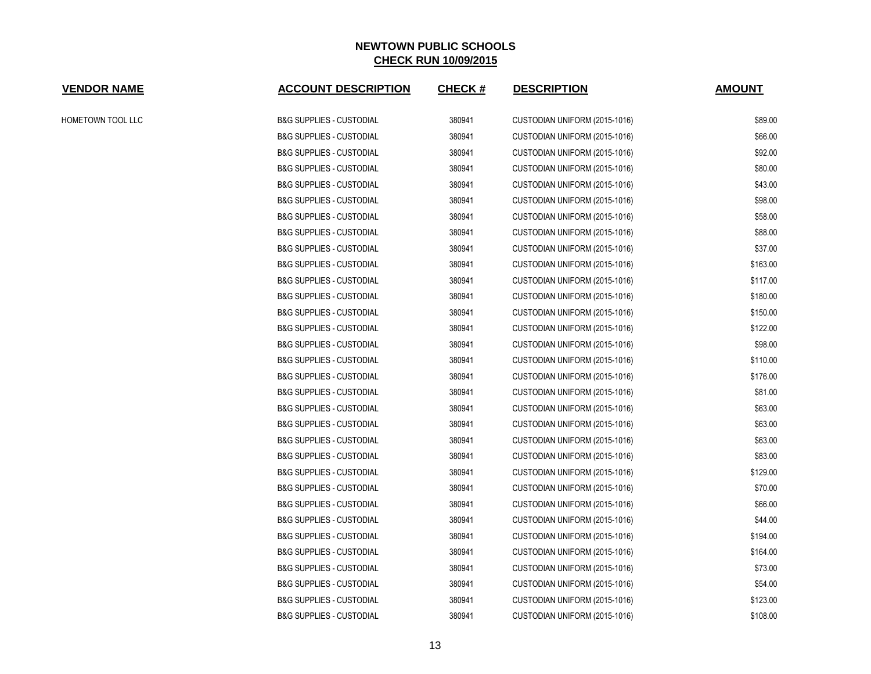| <b>VENDOR NAME</b> | <b>ACCOUNT DESCRIPTION</b>          | <b>CHECK#</b> | <b>DESCRIPTION</b>            | <b>AMOUNT</b> |
|--------------------|-------------------------------------|---------------|-------------------------------|---------------|
| HOMETOWN TOOL LLC  | <b>B&amp;G SUPPLIES - CUSTODIAL</b> | 380941        | CUSTODIAN UNIFORM (2015-1016) | \$89.00       |
|                    | <b>B&amp;G SUPPLIES - CUSTODIAL</b> | 380941        | CUSTODIAN UNIFORM (2015-1016) | \$66.00       |
|                    | <b>B&amp;G SUPPLIES - CUSTODIAL</b> | 380941        | CUSTODIAN UNIFORM (2015-1016) | \$92.00       |
|                    | <b>B&amp;G SUPPLIES - CUSTODIAL</b> | 380941        | CUSTODIAN UNIFORM (2015-1016) | \$80.00       |
|                    | <b>B&amp;G SUPPLIES - CUSTODIAL</b> | 380941        | CUSTODIAN UNIFORM (2015-1016) | \$43.00       |
|                    | <b>B&amp;G SUPPLIES - CUSTODIAL</b> | 380941        | CUSTODIAN UNIFORM (2015-1016) | \$98.00       |
|                    | <b>B&amp;G SUPPLIES - CUSTODIAL</b> | 380941        | CUSTODIAN UNIFORM (2015-1016) | \$58.00       |
|                    | <b>B&amp;G SUPPLIES - CUSTODIAL</b> | 380941        | CUSTODIAN UNIFORM (2015-1016) | \$88.00       |
|                    | <b>B&amp;G SUPPLIES - CUSTODIAL</b> | 380941        | CUSTODIAN UNIFORM (2015-1016) | \$37.00       |
|                    | <b>B&amp;G SUPPLIES - CUSTODIAL</b> | 380941        | CUSTODIAN UNIFORM (2015-1016) | \$163.00      |
|                    | <b>B&amp;G SUPPLIES - CUSTODIAL</b> | 380941        | CUSTODIAN UNIFORM (2015-1016) | \$117.00      |
|                    | <b>B&amp;G SUPPLIES - CUSTODIAL</b> | 380941        | CUSTODIAN UNIFORM (2015-1016) | \$180.00      |
|                    | <b>B&amp;G SUPPLIES - CUSTODIAL</b> | 380941        | CUSTODIAN UNIFORM (2015-1016) | \$150.00      |
|                    | <b>B&amp;G SUPPLIES - CUSTODIAL</b> | 380941        | CUSTODIAN UNIFORM (2015-1016) | \$122.00      |
|                    | <b>B&amp;G SUPPLIES - CUSTODIAL</b> | 380941        | CUSTODIAN UNIFORM (2015-1016) | \$98.00       |
|                    | <b>B&amp;G SUPPLIES - CUSTODIAL</b> | 380941        | CUSTODIAN UNIFORM (2015-1016) | \$110.00      |
|                    | <b>B&amp;G SUPPLIES - CUSTODIAL</b> | 380941        | CUSTODIAN UNIFORM (2015-1016) | \$176.00      |
|                    | <b>B&amp;G SUPPLIES - CUSTODIAL</b> | 380941        | CUSTODIAN UNIFORM (2015-1016) | \$81.00       |
|                    | <b>B&amp;G SUPPLIES - CUSTODIAL</b> | 380941        | CUSTODIAN UNIFORM (2015-1016) | \$63.00       |
|                    | <b>B&amp;G SUPPLIES - CUSTODIAL</b> | 380941        | CUSTODIAN UNIFORM (2015-1016) | \$63.00       |
|                    | <b>B&amp;G SUPPLIES - CUSTODIAL</b> | 380941        | CUSTODIAN UNIFORM (2015-1016) | \$63.00       |
|                    | <b>B&amp;G SUPPLIES - CUSTODIAL</b> | 380941        | CUSTODIAN UNIFORM (2015-1016) | \$83.00       |
|                    | <b>B&amp;G SUPPLIES - CUSTODIAL</b> | 380941        | CUSTODIAN UNIFORM (2015-1016) | \$129.00      |
|                    | <b>B&amp;G SUPPLIES - CUSTODIAL</b> | 380941        | CUSTODIAN UNIFORM (2015-1016) | \$70.00       |
|                    | <b>B&amp;G SUPPLIES - CUSTODIAL</b> | 380941        | CUSTODIAN UNIFORM (2015-1016) | \$66.00       |
|                    | <b>B&amp;G SUPPLIES - CUSTODIAL</b> | 380941        | CUSTODIAN UNIFORM (2015-1016) | \$44.00       |
|                    | <b>B&amp;G SUPPLIES - CUSTODIAL</b> | 380941        | CUSTODIAN UNIFORM (2015-1016) | \$194.00      |
|                    | <b>B&amp;G SUPPLIES - CUSTODIAL</b> | 380941        | CUSTODIAN UNIFORM (2015-1016) | \$164.00      |
|                    | <b>B&amp;G SUPPLIES - CUSTODIAL</b> | 380941        | CUSTODIAN UNIFORM (2015-1016) | \$73.00       |
|                    | <b>B&amp;G SUPPLIES - CUSTODIAL</b> | 380941        | CUSTODIAN UNIFORM (2015-1016) | \$54.00       |
|                    | <b>B&amp;G SUPPLIES - CUSTODIAL</b> | 380941        | CUSTODIAN UNIFORM (2015-1016) | \$123.00      |
|                    | <b>B&amp;G SUPPLIES - CUSTODIAL</b> | 380941        | CUSTODIAN UNIFORM (2015-1016) | \$108.00      |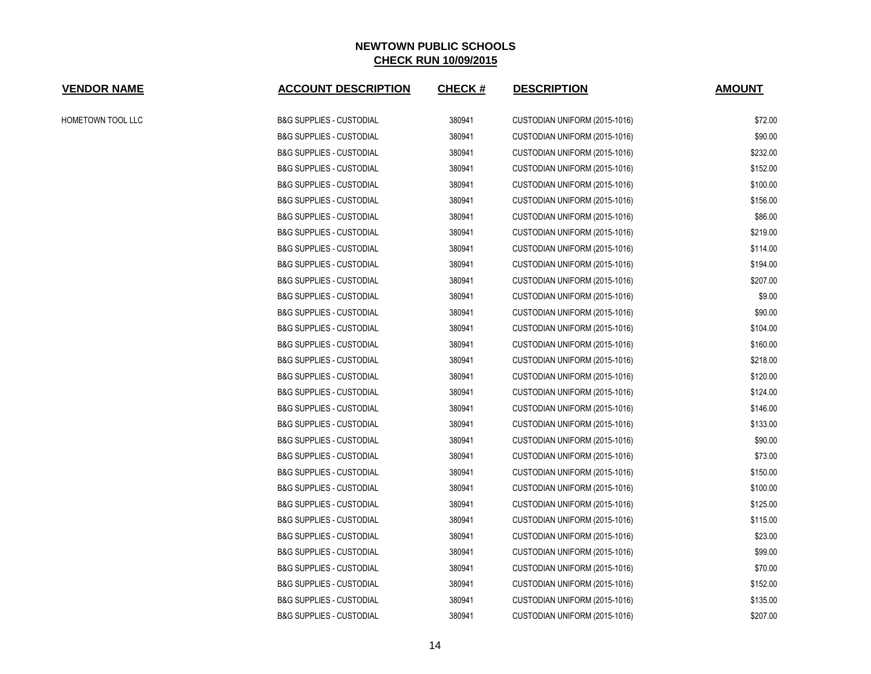| <b>VENDOR NAME</b> | <b>ACCOUNT DESCRIPTION</b>          | <b>CHECK#</b> | <b>DESCRIPTION</b>            | <b>AMOUNT</b> |
|--------------------|-------------------------------------|---------------|-------------------------------|---------------|
| HOMETOWN TOOL LLC  | <b>B&amp;G SUPPLIES - CUSTODIAL</b> | 380941        | CUSTODIAN UNIFORM (2015-1016) | \$72.00       |
|                    | <b>B&amp;G SUPPLIES - CUSTODIAL</b> | 380941        | CUSTODIAN UNIFORM (2015-1016) | \$90.00       |
|                    | <b>B&amp;G SUPPLIES - CUSTODIAL</b> | 380941        | CUSTODIAN UNIFORM (2015-1016) | \$232.00      |
|                    | <b>B&amp;G SUPPLIES - CUSTODIAL</b> | 380941        | CUSTODIAN UNIFORM (2015-1016) | \$152.00      |
|                    | <b>B&amp;G SUPPLIES - CUSTODIAL</b> | 380941        | CUSTODIAN UNIFORM (2015-1016) | \$100.00      |
|                    | <b>B&amp;G SUPPLIES - CUSTODIAL</b> | 380941        | CUSTODIAN UNIFORM (2015-1016) | \$156.00      |
|                    | <b>B&amp;G SUPPLIES - CUSTODIAL</b> | 380941        | CUSTODIAN UNIFORM (2015-1016) | \$86.00       |
|                    | <b>B&amp;G SUPPLIES - CUSTODIAL</b> | 380941        | CUSTODIAN UNIFORM (2015-1016) | \$219.00      |
|                    | <b>B&amp;G SUPPLIES - CUSTODIAL</b> | 380941        | CUSTODIAN UNIFORM (2015-1016) | \$114.00      |
|                    | <b>B&amp;G SUPPLIES - CUSTODIAL</b> | 380941        | CUSTODIAN UNIFORM (2015-1016) | \$194.00      |
|                    | <b>B&amp;G SUPPLIES - CUSTODIAL</b> | 380941        | CUSTODIAN UNIFORM (2015-1016) | \$207.00      |
|                    | <b>B&amp;G SUPPLIES - CUSTODIAL</b> | 380941        | CUSTODIAN UNIFORM (2015-1016) | \$9.00        |
|                    | <b>B&amp;G SUPPLIES - CUSTODIAL</b> | 380941        | CUSTODIAN UNIFORM (2015-1016) | \$90.00       |
|                    | <b>B&amp;G SUPPLIES - CUSTODIAL</b> | 380941        | CUSTODIAN UNIFORM (2015-1016) | \$104.00      |
|                    | <b>B&amp;G SUPPLIES - CUSTODIAL</b> | 380941        | CUSTODIAN UNIFORM (2015-1016) | \$160.00      |
|                    | <b>B&amp;G SUPPLIES - CUSTODIAL</b> | 380941        | CUSTODIAN UNIFORM (2015-1016) | \$218.00      |
|                    | <b>B&amp;G SUPPLIES - CUSTODIAL</b> | 380941        | CUSTODIAN UNIFORM (2015-1016) | \$120.00      |
|                    | <b>B&amp;G SUPPLIES - CUSTODIAL</b> | 380941        | CUSTODIAN UNIFORM (2015-1016) | \$124.00      |
|                    | <b>B&amp;G SUPPLIES - CUSTODIAL</b> | 380941        | CUSTODIAN UNIFORM (2015-1016) | \$146.00      |
|                    | <b>B&amp;G SUPPLIES - CUSTODIAL</b> | 380941        | CUSTODIAN UNIFORM (2015-1016) | \$133.00      |
|                    | <b>B&amp;G SUPPLIES - CUSTODIAL</b> | 380941        | CUSTODIAN UNIFORM (2015-1016) | \$90.00       |
|                    | <b>B&amp;G SUPPLIES - CUSTODIAL</b> | 380941        | CUSTODIAN UNIFORM (2015-1016) | \$73.00       |
|                    | <b>B&amp;G SUPPLIES - CUSTODIAL</b> | 380941        | CUSTODIAN UNIFORM (2015-1016) | \$150.00      |
|                    | <b>B&amp;G SUPPLIES - CUSTODIAL</b> | 380941        | CUSTODIAN UNIFORM (2015-1016) | \$100.00      |
|                    | <b>B&amp;G SUPPLIES - CUSTODIAL</b> | 380941        | CUSTODIAN UNIFORM (2015-1016) | \$125.00      |
|                    | <b>B&amp;G SUPPLIES - CUSTODIAL</b> | 380941        | CUSTODIAN UNIFORM (2015-1016) | \$115.00      |
|                    | <b>B&amp;G SUPPLIES - CUSTODIAL</b> | 380941        | CUSTODIAN UNIFORM (2015-1016) | \$23.00       |
|                    | <b>B&amp;G SUPPLIES - CUSTODIAL</b> | 380941        | CUSTODIAN UNIFORM (2015-1016) | \$99.00       |
|                    | <b>B&amp;G SUPPLIES - CUSTODIAL</b> | 380941        | CUSTODIAN UNIFORM (2015-1016) | \$70.00       |
|                    | <b>B&amp;G SUPPLIES - CUSTODIAL</b> | 380941        | CUSTODIAN UNIFORM (2015-1016) | \$152.00      |
|                    | <b>B&amp;G SUPPLIES - CUSTODIAL</b> | 380941        | CUSTODIAN UNIFORM (2015-1016) | \$135.00      |
|                    | <b>B&amp;G SUPPLIES - CUSTODIAL</b> | 380941        | CUSTODIAN UNIFORM (2015-1016) | \$207.00      |
|                    |                                     |               |                               |               |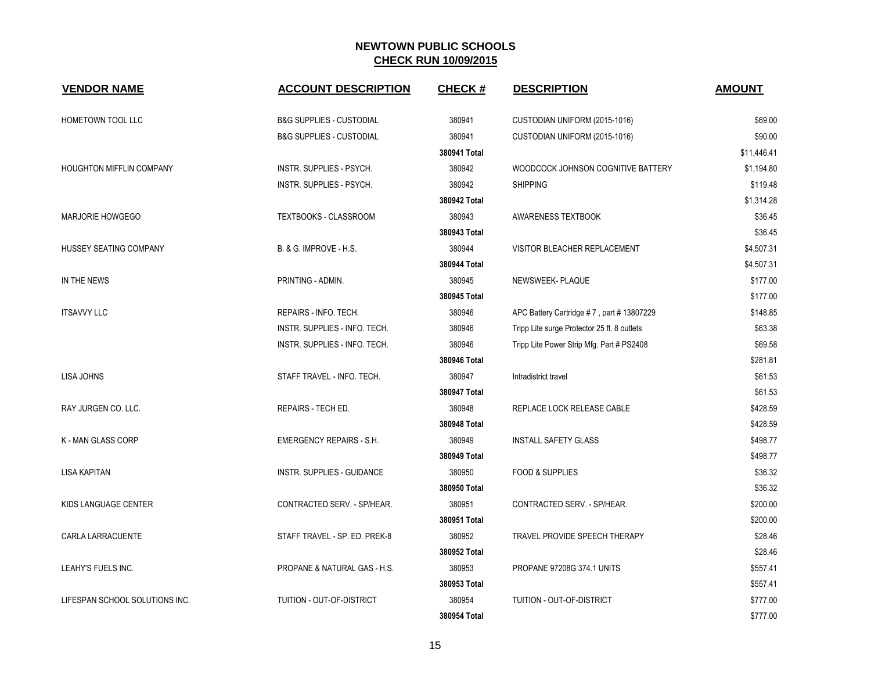| <b>VENDOR NAME</b>             | <b>ACCOUNT DESCRIPTION</b>              | <b>CHECK#</b> | <b>DESCRIPTION</b>                          | <b>AMOUNT</b> |
|--------------------------------|-----------------------------------------|---------------|---------------------------------------------|---------------|
| HOMETOWN TOOL LLC              | <b>B&amp;G SUPPLIES - CUSTODIAL</b>     | 380941        | CUSTODIAN UNIFORM (2015-1016)               | \$69.00       |
|                                | <b>B&amp;G SUPPLIES - CUSTODIAL</b>     | 380941        | CUSTODIAN UNIFORM (2015-1016)               | \$90.00       |
|                                |                                         | 380941 Total  |                                             | \$11,446.41   |
| HOUGHTON MIFFLIN COMPANY       | INSTR. SUPPLIES - PSYCH.                | 380942        | WOODCOCK JOHNSON COGNITIVE BATTERY          | \$1,194.80    |
|                                | INSTR. SUPPLIES - PSYCH.                | 380942        | <b>SHIPPING</b>                             | \$119.48      |
|                                |                                         | 380942 Total  |                                             | \$1,314.28    |
| <b>MARJORIE HOWGEGO</b>        | TEXTBOOKS - CLASSROOM                   | 380943        | AWARENESS TEXTBOOK                          | \$36.45       |
|                                |                                         | 380943 Total  |                                             | \$36.45       |
| HUSSEY SEATING COMPANY         | B. & G. IMPROVE - H.S.                  | 380944        | VISITOR BLEACHER REPLACEMENT                | \$4,507.31    |
|                                |                                         | 380944 Total  |                                             | \$4,507.31    |
| IN THE NEWS                    | PRINTING - ADMIN.                       | 380945        | NEWSWEEK- PLAQUE                            | \$177.00      |
|                                |                                         | 380945 Total  |                                             | \$177.00      |
| <b>ITSAVVY LLC</b>             | REPAIRS - INFO. TECH.                   | 380946        | APC Battery Cartridge #7, part #13807229    | \$148.85      |
|                                | INSTR. SUPPLIES - INFO. TECH.           | 380946        | Tripp Lite surge Protector 25 ft. 8 outlets | \$63.38       |
|                                | INSTR. SUPPLIES - INFO. TECH.           | 380946        | Tripp Lite Power Strip Mfg. Part # PS2408   | \$69.58       |
|                                |                                         | 380946 Total  |                                             | \$281.81      |
| LISA JOHNS                     | STAFF TRAVEL - INFO. TECH.              | 380947        | Intradistrict travel                        | \$61.53       |
|                                |                                         | 380947 Total  |                                             | \$61.53       |
| RAY JURGEN CO. LLC.            | REPAIRS - TECH ED.                      | 380948        | REPLACE LOCK RELEASE CABLE                  | \$428.59      |
|                                |                                         | 380948 Total  |                                             | \$428.59      |
| K - MAN GLASS CORP             | <b>EMERGENCY REPAIRS - S.H.</b>         | 380949        | <b>INSTALL SAFETY GLASS</b>                 | \$498.77      |
|                                |                                         | 380949 Total  |                                             | \$498.77      |
| <b>LISA KAPITAN</b>            | INSTR. SUPPLIES - GUIDANCE              | 380950        | <b>FOOD &amp; SUPPLIES</b>                  | \$36.32       |
|                                |                                         | 380950 Total  |                                             | \$36.32       |
| KIDS LANGUAGE CENTER           | CONTRACTED SERV. - SP/HEAR.             | 380951        | CONTRACTED SERV. - SP/HEAR.                 | \$200.00      |
|                                |                                         | 380951 Total  |                                             | \$200.00      |
| CARLA LARRACUENTE              | STAFF TRAVEL - SP. ED. PREK-8           | 380952        | TRAVEL PROVIDE SPEECH THERAPY               | \$28.46       |
|                                |                                         | 380952 Total  |                                             | \$28.46       |
| LEAHY'S FUELS INC.             | <b>PROPANE &amp; NATURAL GAS - H.S.</b> | 380953        | PROPANE 97208G 374.1 UNITS                  | \$557.41      |
|                                |                                         | 380953 Total  |                                             | \$557.41      |
| LIFESPAN SCHOOL SOLUTIONS INC. | TUITION - OUT-OF-DISTRICT               | 380954        | TUITION - OUT-OF-DISTRICT                   | \$777.00      |
|                                |                                         | 380954 Total  |                                             | \$777.00      |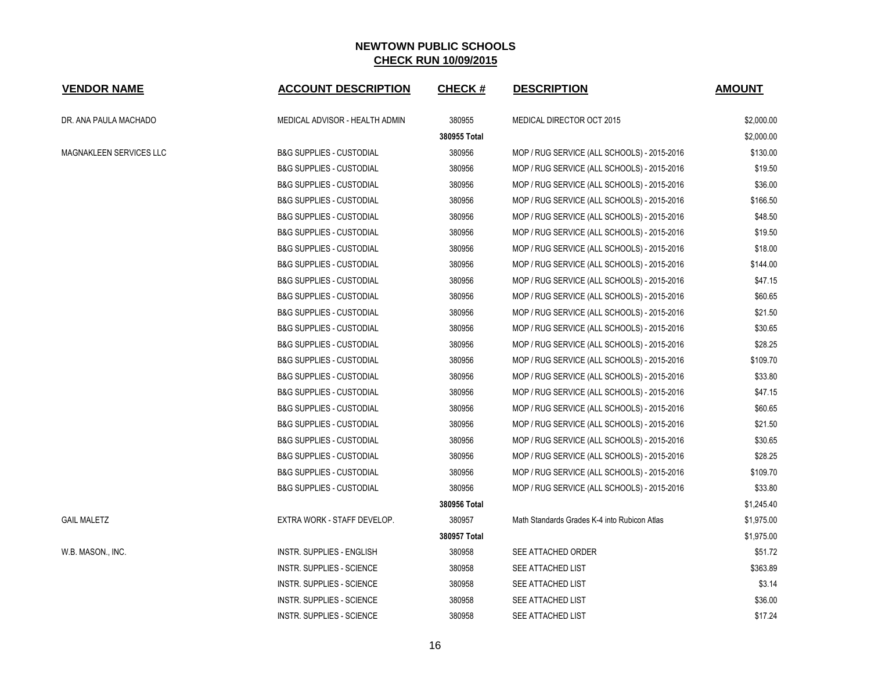| <b>VENDOR NAME</b>             | <b>ACCOUNT DESCRIPTION</b>          | <b>CHECK#</b> | <b>DESCRIPTION</b>                           | <b>AMOUNT</b> |
|--------------------------------|-------------------------------------|---------------|----------------------------------------------|---------------|
| DR. ANA PAULA MACHADO          | MEDICAL ADVISOR - HEALTH ADMIN      | 380955        | MEDICAL DIRECTOR OCT 2015                    | \$2,000.00    |
|                                |                                     | 380955 Total  |                                              | \$2,000.00    |
| <b>MAGNAKLEEN SERVICES LLC</b> | <b>B&amp;G SUPPLIES - CUSTODIAL</b> | 380956        | MOP / RUG SERVICE (ALL SCHOOLS) - 2015-2016  | \$130.00      |
|                                | <b>B&amp;G SUPPLIES - CUSTODIAL</b> | 380956        | MOP / RUG SERVICE (ALL SCHOOLS) - 2015-2016  | \$19.50       |
|                                | <b>B&amp;G SUPPLIES - CUSTODIAL</b> | 380956        | MOP / RUG SERVICE (ALL SCHOOLS) - 2015-2016  | \$36.00       |
|                                | <b>B&amp;G SUPPLIES - CUSTODIAL</b> | 380956        | MOP / RUG SERVICE (ALL SCHOOLS) - 2015-2016  | \$166.50      |
|                                | <b>B&amp;G SUPPLIES - CUSTODIAL</b> | 380956        | MOP / RUG SERVICE (ALL SCHOOLS) - 2015-2016  | \$48.50       |
|                                | <b>B&amp;G SUPPLIES - CUSTODIAL</b> | 380956        | MOP / RUG SERVICE (ALL SCHOOLS) - 2015-2016  | \$19.50       |
|                                | <b>B&amp;G SUPPLIES - CUSTODIAL</b> | 380956        | MOP / RUG SERVICE (ALL SCHOOLS) - 2015-2016  | \$18.00       |
|                                | <b>B&amp;G SUPPLIES - CUSTODIAL</b> | 380956        | MOP / RUG SERVICE (ALL SCHOOLS) - 2015-2016  | \$144.00      |
|                                | <b>B&amp;G SUPPLIES - CUSTODIAL</b> | 380956        | MOP / RUG SERVICE (ALL SCHOOLS) - 2015-2016  | \$47.15       |
|                                | <b>B&amp;G SUPPLIES - CUSTODIAL</b> | 380956        | MOP / RUG SERVICE (ALL SCHOOLS) - 2015-2016  | \$60.65       |
|                                | <b>B&amp;G SUPPLIES - CUSTODIAL</b> | 380956        | MOP / RUG SERVICE (ALL SCHOOLS) - 2015-2016  | \$21.50       |
|                                | <b>B&amp;G SUPPLIES - CUSTODIAL</b> | 380956        | MOP / RUG SERVICE (ALL SCHOOLS) - 2015-2016  | \$30.65       |
|                                | <b>B&amp;G SUPPLIES - CUSTODIAL</b> | 380956        | MOP / RUG SERVICE (ALL SCHOOLS) - 2015-2016  | \$28.25       |
|                                | <b>B&amp;G SUPPLIES - CUSTODIAL</b> | 380956        | MOP / RUG SERVICE (ALL SCHOOLS) - 2015-2016  | \$109.70      |
|                                | <b>B&amp;G SUPPLIES - CUSTODIAL</b> | 380956        | MOP / RUG SERVICE (ALL SCHOOLS) - 2015-2016  | \$33.80       |
|                                | <b>B&amp;G SUPPLIES - CUSTODIAL</b> | 380956        | MOP / RUG SERVICE (ALL SCHOOLS) - 2015-2016  | \$47.15       |
|                                | <b>B&amp;G SUPPLIES - CUSTODIAL</b> | 380956        | MOP / RUG SERVICE (ALL SCHOOLS) - 2015-2016  | \$60.65       |
|                                | <b>B&amp;G SUPPLIES - CUSTODIAL</b> | 380956        | MOP / RUG SERVICE (ALL SCHOOLS) - 2015-2016  | \$21.50       |
|                                | <b>B&amp;G SUPPLIES - CUSTODIAL</b> | 380956        | MOP / RUG SERVICE (ALL SCHOOLS) - 2015-2016  | \$30.65       |
|                                | <b>B&amp;G SUPPLIES - CUSTODIAL</b> | 380956        | MOP / RUG SERVICE (ALL SCHOOLS) - 2015-2016  | \$28.25       |
|                                | <b>B&amp;G SUPPLIES - CUSTODIAL</b> | 380956        | MOP / RUG SERVICE (ALL SCHOOLS) - 2015-2016  | \$109.70      |
|                                | <b>B&amp;G SUPPLIES - CUSTODIAL</b> | 380956        | MOP / RUG SERVICE (ALL SCHOOLS) - 2015-2016  | \$33.80       |
|                                |                                     | 380956 Total  |                                              | \$1,245.40    |
| <b>GAIL MALETZ</b>             | EXTRA WORK - STAFF DEVELOP.         | 380957        | Math Standards Grades K-4 into Rubicon Atlas | \$1,975.00    |
|                                |                                     | 380957 Total  |                                              | \$1,975.00    |
| W.B. MASON., INC.              | INSTR. SUPPLIES - ENGLISH           | 380958        | SEE ATTACHED ORDER                           | \$51.72       |
|                                | INSTR. SUPPLIES - SCIENCE           | 380958        | SEE ATTACHED LIST                            | \$363.89      |
|                                | INSTR. SUPPLIES - SCIENCE           | 380958        | SEE ATTACHED LIST                            | \$3.14        |
|                                | <b>INSTR. SUPPLIES - SCIENCE</b>    | 380958        | SEE ATTACHED LIST                            | \$36.00       |
|                                | <b>INSTR. SUPPLIES - SCIENCE</b>    | 380958        | SEE ATTACHED LIST                            | \$17.24       |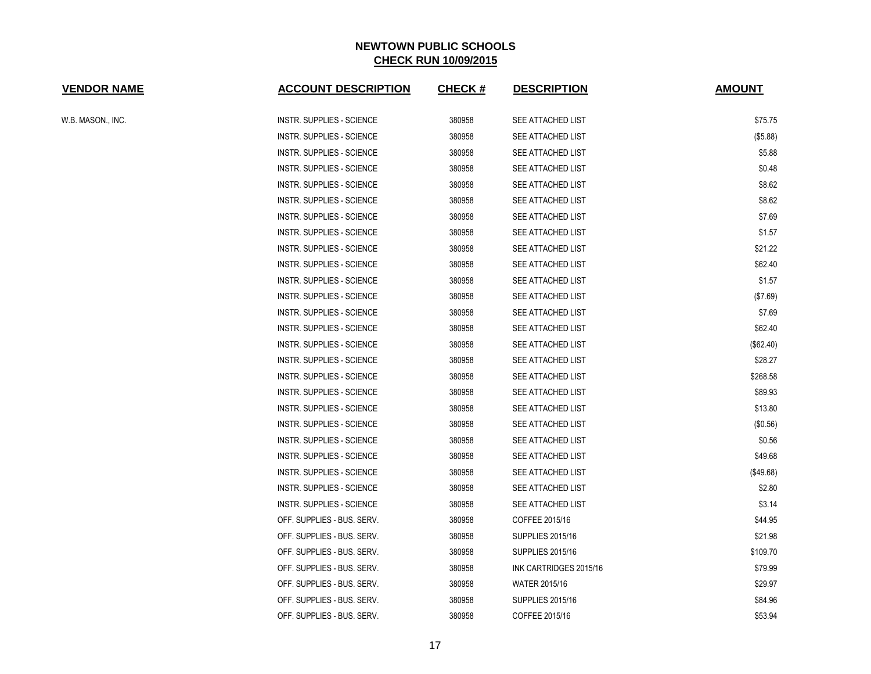| <b>VENDOR NAME</b> | <b>ACCOUNT DESCRIPTION</b>       | <b>CHECK#</b> | <b>DESCRIPTION</b>      | <b>AMOUNT</b> |
|--------------------|----------------------------------|---------------|-------------------------|---------------|
| W.B. MASON., INC.  | <b>INSTR. SUPPLIES - SCIENCE</b> | 380958        | SEE ATTACHED LIST       | \$75.75       |
|                    | <b>INSTR. SUPPLIES - SCIENCE</b> | 380958        | SEE ATTACHED LIST       | (\$5.88)      |
|                    | INSTR. SUPPLIES - SCIENCE        | 380958        | SEE ATTACHED LIST       | \$5.88        |
|                    | <b>INSTR. SUPPLIES - SCIENCE</b> | 380958        | SEE ATTACHED LIST       | \$0.48        |
|                    | INSTR. SUPPLIES - SCIENCE        | 380958        | SEE ATTACHED LIST       | \$8.62        |
|                    | <b>INSTR. SUPPLIES - SCIENCE</b> | 380958        | SEE ATTACHED LIST       | \$8.62        |
|                    | INSTR. SUPPLIES - SCIENCE        | 380958        | SEE ATTACHED LIST       | \$7.69        |
|                    | INSTR. SUPPLIES - SCIENCE        | 380958        | SEE ATTACHED LIST       | \$1.57        |
|                    | <b>INSTR. SUPPLIES - SCIENCE</b> | 380958        | SEE ATTACHED LIST       | \$21.22       |
|                    | INSTR. SUPPLIES - SCIENCE        | 380958        | SEE ATTACHED LIST       | \$62.40       |
|                    | <b>INSTR. SUPPLIES - SCIENCE</b> | 380958        | SEE ATTACHED LIST       | \$1.57        |
|                    | <b>INSTR. SUPPLIES - SCIENCE</b> | 380958        | SEE ATTACHED LIST       | (\$7.69)      |
|                    | <b>INSTR. SUPPLIES - SCIENCE</b> | 380958        | SEE ATTACHED LIST       | \$7.69        |
|                    | INSTR. SUPPLIES - SCIENCE        | 380958        | SEE ATTACHED LIST       | \$62.40       |
|                    | <b>INSTR. SUPPLIES - SCIENCE</b> | 380958        | SEE ATTACHED LIST       | (\$62.40)     |
|                    | INSTR. SUPPLIES - SCIENCE        | 380958        | SEE ATTACHED LIST       | \$28.27       |
|                    | INSTR. SUPPLIES - SCIENCE        | 380958        | SEE ATTACHED LIST       | \$268.58      |
|                    | <b>INSTR. SUPPLIES - SCIENCE</b> | 380958        | SEE ATTACHED LIST       | \$89.93       |
|                    | INSTR. SUPPLIES - SCIENCE        | 380958        | SEE ATTACHED LIST       | \$13.80       |
|                    | <b>INSTR. SUPPLIES - SCIENCE</b> | 380958        | SEE ATTACHED LIST       | (\$0.56)      |
|                    | <b>INSTR. SUPPLIES - SCIENCE</b> | 380958        | SEE ATTACHED LIST       | \$0.56        |
|                    | <b>INSTR. SUPPLIES - SCIENCE</b> | 380958        | SEE ATTACHED LIST       | \$49.68       |
|                    | <b>INSTR. SUPPLIES - SCIENCE</b> | 380958        | SEE ATTACHED LIST       | (\$49.68)     |
|                    | <b>INSTR. SUPPLIES - SCIENCE</b> | 380958        | SEE ATTACHED LIST       | \$2.80        |
|                    | INSTR. SUPPLIES - SCIENCE        | 380958        | SEE ATTACHED LIST       | \$3.14        |
|                    | OFF. SUPPLIES - BUS. SERV.       | 380958        | COFFEE 2015/16          | \$44.95       |
|                    | OFF. SUPPLIES - BUS. SERV.       | 380958        | <b>SUPPLIES 2015/16</b> | \$21.98       |
|                    | OFF. SUPPLIES - BUS. SERV.       | 380958        | <b>SUPPLIES 2015/16</b> | \$109.70      |
|                    | OFF. SUPPLIES - BUS. SERV.       | 380958        | INK CARTRIDGES 2015/16  | \$79.99       |
|                    | OFF. SUPPLIES - BUS. SERV.       | 380958        | <b>WATER 2015/16</b>    | \$29.97       |
|                    | OFF. SUPPLIES - BUS. SERV.       | 380958        | <b>SUPPLIES 2015/16</b> | \$84.96       |
|                    | OFF. SUPPLIES - BUS. SERV.       | 380958        | COFFEE 2015/16          | \$53.94       |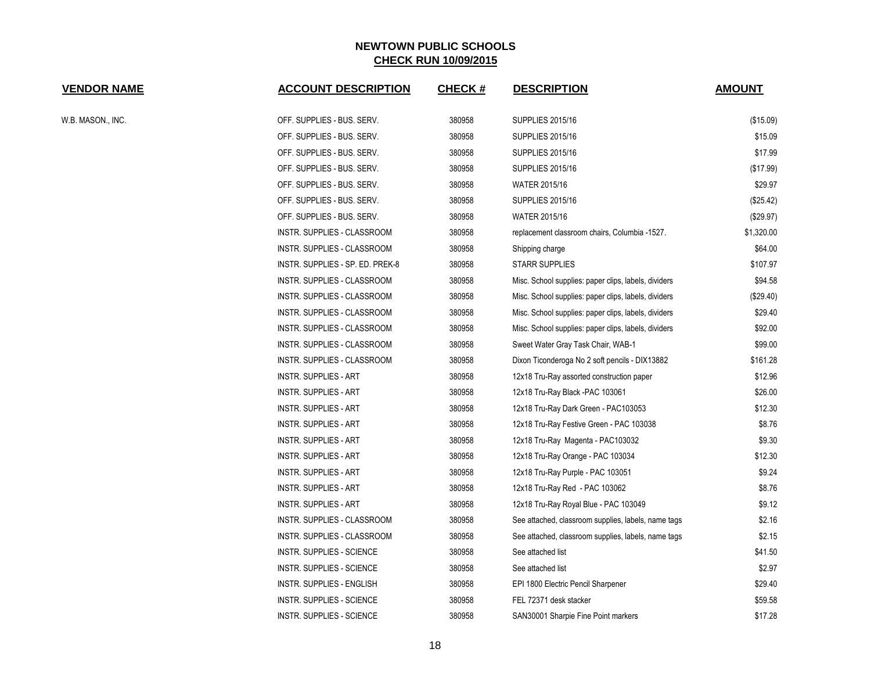| <b>VENDOR NAME</b> | <b>ACCOUNT DESCRIPTION</b>       | <b>CHECK#</b> | <b>DESCRIPTION</b>                                   | <b>AMOUNT</b> |
|--------------------|----------------------------------|---------------|------------------------------------------------------|---------------|
| W.B. MASON., INC.  | OFF. SUPPLIES - BUS. SERV.       | 380958        | <b>SUPPLIES 2015/16</b>                              | (\$15.09)     |
|                    | OFF. SUPPLIES - BUS. SERV.       | 380958        | <b>SUPPLIES 2015/16</b>                              | \$15.09       |
|                    | OFF. SUPPLIES - BUS. SERV.       | 380958        | <b>SUPPLIES 2015/16</b>                              | \$17.99       |
|                    | OFF. SUPPLIES - BUS. SERV.       | 380958        | SUPPLIES 2015/16                                     | (\$17.99)     |
|                    | OFF. SUPPLIES - BUS. SERV.       | 380958        | <b>WATER 2015/16</b>                                 | \$29.97       |
|                    | OFF. SUPPLIES - BUS. SERV.       | 380958        | <b>SUPPLIES 2015/16</b>                              | (\$25.42)     |
|                    | OFF. SUPPLIES - BUS. SERV.       | 380958        | <b>WATER 2015/16</b>                                 | (\$29.97)     |
|                    | INSTR. SUPPLIES - CLASSROOM      | 380958        | replacement classroom chairs, Columbia -1527.        | \$1,320.00    |
|                    | INSTR. SUPPLIES - CLASSROOM      | 380958        | Shipping charge                                      | \$64.00       |
|                    | INSTR. SUPPLIES - SP. ED. PREK-8 | 380958        | <b>STARR SUPPLIES</b>                                | \$107.97      |
|                    | INSTR. SUPPLIES - CLASSROOM      | 380958        | Misc. School supplies: paper clips, labels, dividers | \$94.58       |
|                    | INSTR. SUPPLIES - CLASSROOM      | 380958        | Misc. School supplies: paper clips, labels, dividers | (\$29.40)     |
|                    | INSTR. SUPPLIES - CLASSROOM      | 380958        | Misc. School supplies: paper clips, labels, dividers | \$29.40       |
|                    | INSTR. SUPPLIES - CLASSROOM      | 380958        | Misc. School supplies: paper clips, labels, dividers | \$92.00       |
|                    | INSTR. SUPPLIES - CLASSROOM      | 380958        | Sweet Water Gray Task Chair, WAB-1                   | \$99.00       |
|                    | INSTR. SUPPLIES - CLASSROOM      | 380958        | Dixon Ticonderoga No 2 soft pencils - DIX13882       | \$161.28      |
|                    | INSTR. SUPPLIES - ART            | 380958        | 12x18 Tru-Ray assorted construction paper            | \$12.96       |
|                    | INSTR. SUPPLIES - ART            | 380958        | 12x18 Tru-Ray Black -PAC 103061                      | \$26.00       |
|                    | INSTR. SUPPLIES - ART            | 380958        | 12x18 Tru-Ray Dark Green - PAC103053                 | \$12.30       |
|                    | <b>INSTR. SUPPLIES - ART</b>     | 380958        | 12x18 Tru-Ray Festive Green - PAC 103038             | \$8.76        |
|                    | <b>INSTR. SUPPLIES - ART</b>     | 380958        | 12x18 Tru-Ray Magenta - PAC103032                    | \$9.30        |
|                    | INSTR. SUPPLIES - ART            | 380958        | 12x18 Tru-Ray Orange - PAC 103034                    | \$12.30       |
|                    | <b>INSTR. SUPPLIES - ART</b>     | 380958        | 12x18 Tru-Ray Purple - PAC 103051                    | \$9.24        |
|                    | <b>INSTR. SUPPLIES - ART</b>     | 380958        | 12x18 Tru-Ray Red - PAC 103062                       | \$8.76        |
|                    | INSTR. SUPPLIES - ART            | 380958        | 12x18 Tru-Ray Royal Blue - PAC 103049                | \$9.12        |
|                    | INSTR. SUPPLIES - CLASSROOM      | 380958        | See attached, classroom supplies, labels, name tags  | \$2.16        |
|                    | INSTR. SUPPLIES - CLASSROOM      | 380958        | See attached, classroom supplies, labels, name tags  | \$2.15        |
|                    | INSTR. SUPPLIES - SCIENCE        | 380958        | See attached list                                    | \$41.50       |
|                    | <b>INSTR. SUPPLIES - SCIENCE</b> | 380958        | See attached list                                    | \$2.97        |
|                    | <b>INSTR. SUPPLIES - ENGLISH</b> | 380958        | EPI 1800 Electric Pencil Sharpener                   | \$29.40       |
|                    | <b>INSTR. SUPPLIES - SCIENCE</b> | 380958        | FEL 72371 desk stacker                               | \$59.58       |
|                    | <b>INSTR. SUPPLIES - SCIENCE</b> | 380958        | SAN30001 Sharpie Fine Point markers                  | \$17.28       |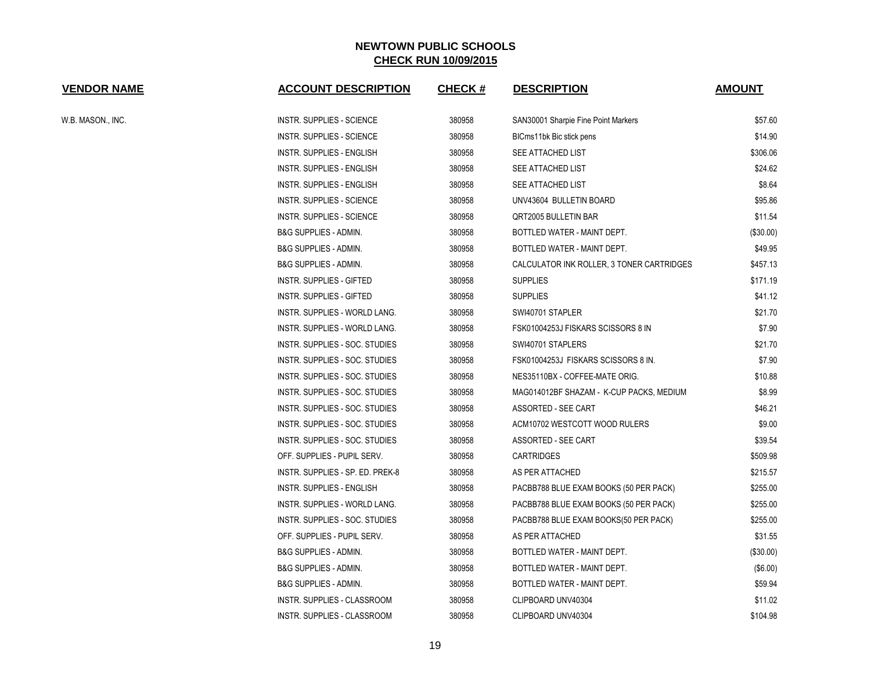| <b>VENDOR NAME</b> | <b>ACCOUNT DESCRIPTION</b>       | <b>CHECK#</b> | <b>DESCRIPTION</b>                        | <b>AMOUNT</b> |
|--------------------|----------------------------------|---------------|-------------------------------------------|---------------|
| W.B. MASON., INC.  | <b>INSTR. SUPPLIES - SCIENCE</b> | 380958        | SAN30001 Sharpie Fine Point Markers       | \$57.60       |
|                    | <b>INSTR. SUPPLIES - SCIENCE</b> | 380958        | BICms11bk Bic stick pens                  | \$14.90       |
|                    | INSTR. SUPPLIES - ENGLISH        | 380958        | SEE ATTACHED LIST                         | \$306.06      |
|                    | INSTR. SUPPLIES - ENGLISH        | 380958        | SEE ATTACHED LIST                         | \$24.62       |
|                    | INSTR. SUPPLIES - ENGLISH        | 380958        | SEE ATTACHED LIST                         | \$8.64        |
|                    | <b>INSTR. SUPPLIES - SCIENCE</b> | 380958        | UNV43604 BULLETIN BOARD                   | \$95.86       |
|                    | <b>INSTR. SUPPLIES - SCIENCE</b> | 380958        | QRT2005 BULLETIN BAR                      | \$11.54       |
|                    | <b>B&amp;G SUPPLIES - ADMIN.</b> | 380958        | BOTTLED WATER - MAINT DEPT.               | (\$30.00)     |
|                    | <b>B&amp;G SUPPLIES - ADMIN.</b> | 380958        | BOTTLED WATER - MAINT DEPT.               | \$49.95       |
|                    | <b>B&amp;G SUPPLIES - ADMIN.</b> | 380958        | CALCULATOR INK ROLLER, 3 TONER CARTRIDGES | \$457.13      |
|                    | <b>INSTR. SUPPLIES - GIFTED</b>  | 380958        | <b>SUPPLIES</b>                           | \$171.19      |
|                    | <b>INSTR. SUPPLIES - GIFTED</b>  | 380958        | <b>SUPPLIES</b>                           | \$41.12       |
|                    | INSTR. SUPPLIES - WORLD LANG.    | 380958        | SWI40701 STAPLER                          | \$21.70       |
|                    | INSTR. SUPPLIES - WORLD LANG.    | 380958        | FSK01004253J FISKARS SCISSORS 8 IN        | \$7.90        |
|                    | INSTR. SUPPLIES - SOC. STUDIES   | 380958        | SWI40701 STAPLERS                         | \$21.70       |
|                    | INSTR. SUPPLIES - SOC. STUDIES   | 380958        | FSK01004253J FISKARS SCISSORS 8 IN.       | \$7.90        |
|                    | INSTR. SUPPLIES - SOC. STUDIES   | 380958        | NES35110BX - COFFEE-MATE ORIG.            | \$10.88       |
|                    | INSTR. SUPPLIES - SOC. STUDIES   | 380958        | MAG014012BF SHAZAM - K-CUP PACKS, MEDIUM  | \$8.99        |
|                    | INSTR. SUPPLIES - SOC. STUDIES   | 380958        | ASSORTED - SEE CART                       | \$46.21       |
|                    | INSTR. SUPPLIES - SOC. STUDIES   | 380958        | ACM10702 WESTCOTT WOOD RULERS             | \$9.00        |
|                    | INSTR. SUPPLIES - SOC. STUDIES   | 380958        | ASSORTED - SEE CART                       | \$39.54       |
|                    | OFF. SUPPLIES - PUPIL SERV.      | 380958        | <b>CARTRIDGES</b>                         | \$509.98      |
|                    | INSTR. SUPPLIES - SP. ED. PREK-8 | 380958        | AS PER ATTACHED                           | \$215.57      |
|                    | INSTR. SUPPLIES - ENGLISH        | 380958        | PACBB788 BLUE EXAM BOOKS (50 PER PACK)    | \$255.00      |
|                    | INSTR. SUPPLIES - WORLD LANG.    | 380958        | PACBB788 BLUE EXAM BOOKS (50 PER PACK)    | \$255.00      |
|                    | INSTR. SUPPLIES - SOC. STUDIES   | 380958        | PACBB788 BLUE EXAM BOOKS(50 PER PACK)     | \$255.00      |
|                    | OFF. SUPPLIES - PUPIL SERV.      | 380958        | AS PER ATTACHED                           | \$31.55       |
|                    | <b>B&amp;G SUPPLIES - ADMIN.</b> | 380958        | BOTTLED WATER - MAINT DEPT.               | (\$30.00)     |
|                    | B&G SUPPLIES - ADMIN.            | 380958        | BOTTLED WATER - MAINT DEPT.               | $($ \$6.00)   |
|                    | <b>B&amp;G SUPPLIES - ADMIN.</b> | 380958        | BOTTLED WATER - MAINT DEPT.               | \$59.94       |
|                    | INSTR. SUPPLIES - CLASSROOM      | 380958        | CLIPBOARD UNV40304                        | \$11.02       |
|                    | INSTR. SUPPLIES - CLASSROOM      | 380958        | CLIPBOARD UNV40304                        | \$104.98      |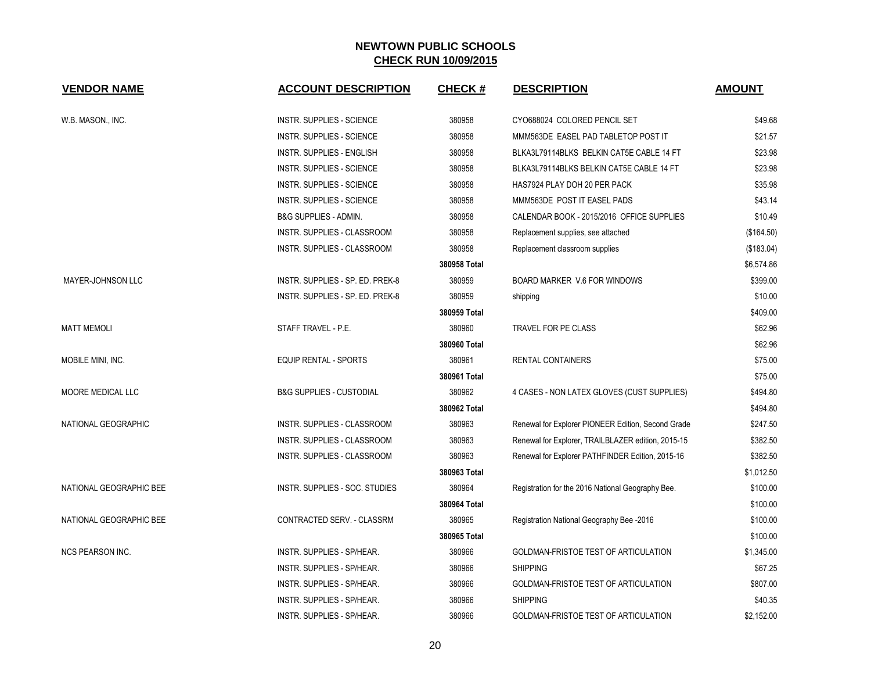| <b>VENDOR NAME</b>       | <b>ACCOUNT DESCRIPTION</b>          | <b>CHECK#</b> | <b>DESCRIPTION</b>                                 | <b>AMOUNT</b> |
|--------------------------|-------------------------------------|---------------|----------------------------------------------------|---------------|
| W.B. MASON., INC.        | <b>INSTR. SUPPLIES - SCIENCE</b>    | 380958        | CYO688024 COLORED PENCIL SET                       | \$49.68       |
|                          | <b>INSTR. SUPPLIES - SCIENCE</b>    | 380958        | MMM563DE EASEL PAD TABLETOP POST IT                | \$21.57       |
|                          | INSTR. SUPPLIES - ENGLISH           | 380958        | BLKA3L79114BLKS BELKIN CAT5E CABLE 14 FT           | \$23.98       |
|                          | INSTR. SUPPLIES - SCIENCE           | 380958        | BLKA3L79114BLKS BELKIN CAT5E CABLE 14 FT           | \$23.98       |
|                          | <b>INSTR. SUPPLIES - SCIENCE</b>    | 380958        | HAS7924 PLAY DOH 20 PER PACK                       | \$35.98       |
|                          | INSTR. SUPPLIES - SCIENCE           | 380958        | MMM563DE POST IT EASEL PADS                        | \$43.14       |
|                          | <b>B&amp;G SUPPLIES - ADMIN.</b>    | 380958        | CALENDAR BOOK - 2015/2016 OFFICE SUPPLIES          | \$10.49       |
|                          | INSTR. SUPPLIES - CLASSROOM         | 380958        | Replacement supplies, see attached                 | (\$164.50)    |
|                          | INSTR. SUPPLIES - CLASSROOM         | 380958        | Replacement classroom supplies                     | (\$183.04)    |
|                          |                                     | 380958 Total  |                                                    | \$6,574.86    |
| MAYER-JOHNSON LLC        | INSTR. SUPPLIES - SP. ED. PREK-8    | 380959        | BOARD MARKER V.6 FOR WINDOWS                       | \$399.00      |
|                          | INSTR. SUPPLIES - SP. ED. PREK-8    | 380959        | shipping                                           | \$10.00       |
|                          |                                     | 380959 Total  |                                                    | \$409.00      |
| <b>MATT MEMOLI</b>       | STAFF TRAVEL - P.E.                 | 380960        | TRAVEL FOR PE CLASS                                | \$62.96       |
|                          |                                     | 380960 Total  |                                                    | \$62.96       |
| MOBILE MINI, INC.        | <b>EQUIP RENTAL - SPORTS</b>        | 380961        | RENTAL CONTAINERS                                  | \$75.00       |
|                          |                                     | 380961 Total  |                                                    | \$75.00       |
| <b>MOORE MEDICAL LLC</b> | <b>B&amp;G SUPPLIES - CUSTODIAL</b> | 380962        | 4 CASES - NON LATEX GLOVES (CUST SUPPLIES)         | \$494.80      |
|                          |                                     | 380962 Total  |                                                    | \$494.80      |
| NATIONAL GEOGRAPHIC      | <b>INSTR. SUPPLIES - CLASSROOM</b>  | 380963        | Renewal for Explorer PIONEER Edition, Second Grade | \$247.50      |
|                          | INSTR. SUPPLIES - CLASSROOM         | 380963        | Renewal for Explorer, TRAILBLAZER edition, 2015-15 | \$382.50      |
|                          | INSTR. SUPPLIES - CLASSROOM         | 380963        | Renewal for Explorer PATHFINDER Edition, 2015-16   | \$382.50      |
|                          |                                     | 380963 Total  |                                                    | \$1,012.50    |
| NATIONAL GEOGRAPHIC BEE  | INSTR. SUPPLIES - SOC. STUDIES      | 380964        | Registration for the 2016 National Geography Bee.  | \$100.00      |
|                          |                                     | 380964 Total  |                                                    | \$100.00      |
| NATIONAL GEOGRAPHIC BEE  | CONTRACTED SERV. - CLASSRM          | 380965        | Registration National Geography Bee -2016          | \$100.00      |
|                          |                                     | 380965 Total  |                                                    | \$100.00      |
| <b>NCS PEARSON INC.</b>  | INSTR. SUPPLIES - SP/HEAR.          | 380966        | GOLDMAN-FRISTOE TEST OF ARTICULATION               | \$1,345.00    |
|                          | INSTR. SUPPLIES - SP/HEAR.          | 380966        | <b>SHIPPING</b>                                    | \$67.25       |
|                          | <b>INSTR. SUPPLIES - SP/HEAR.</b>   | 380966        | GOLDMAN-FRISTOE TEST OF ARTICULATION               | \$807.00      |
|                          | INSTR. SUPPLIES - SP/HEAR.          | 380966        | <b>SHIPPING</b>                                    | \$40.35       |
|                          | INSTR. SUPPLIES - SP/HEAR.          | 380966        | GOLDMAN-FRISTOE TEST OF ARTICULATION               | \$2,152.00    |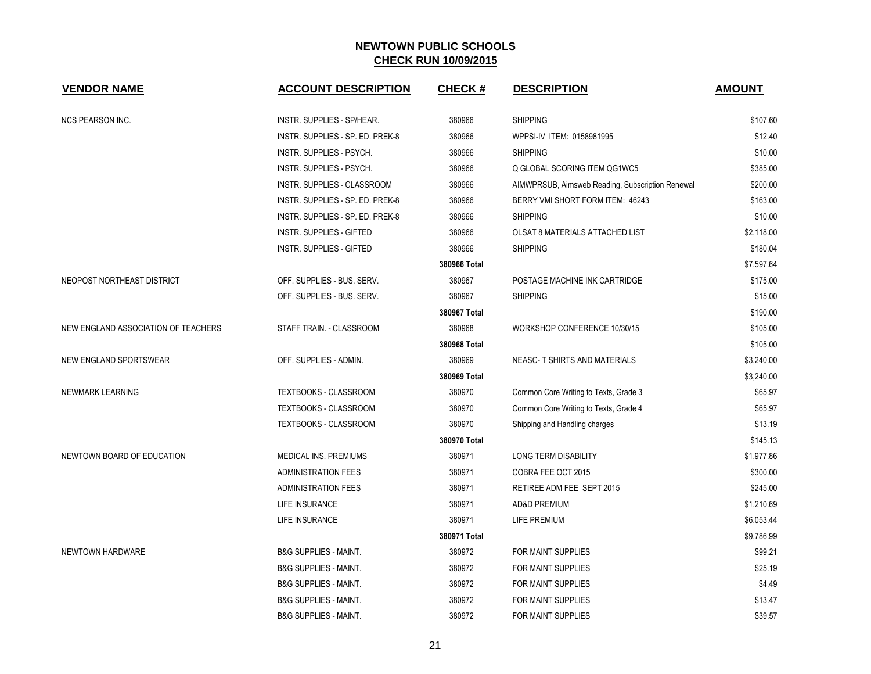| <b>VENDOR NAME</b>                  | <b>ACCOUNT DESCRIPTION</b>        | <b>CHECK#</b> | <b>DESCRIPTION</b>                               | <b>AMOUNT</b> |
|-------------------------------------|-----------------------------------|---------------|--------------------------------------------------|---------------|
| <b>NCS PEARSON INC.</b>             | <b>INSTR. SUPPLIES - SP/HEAR.</b> | 380966        | <b>SHIPPING</b>                                  | \$107.60      |
|                                     | INSTR. SUPPLIES - SP. ED. PREK-8  | 380966        | WPPSI-IV ITEM: 0158981995                        | \$12.40       |
|                                     | INSTR. SUPPLIES - PSYCH.          | 380966        | <b>SHIPPING</b>                                  | \$10.00       |
|                                     | INSTR. SUPPLIES - PSYCH.          | 380966        | Q GLOBAL SCORING ITEM QG1WC5                     | \$385.00      |
|                                     | INSTR. SUPPLIES - CLASSROOM       | 380966        | AIMWPRSUB, Aimsweb Reading, Subscription Renewal | \$200.00      |
|                                     | INSTR. SUPPLIES - SP. ED. PREK-8  | 380966        | BERRY VMI SHORT FORM ITEM: 46243                 | \$163.00      |
|                                     | INSTR. SUPPLIES - SP. ED. PREK-8  | 380966        | <b>SHIPPING</b>                                  | \$10.00       |
|                                     | <b>INSTR. SUPPLIES - GIFTED</b>   | 380966        | OLSAT 8 MATERIALS ATTACHED LIST                  | \$2,118.00    |
|                                     | <b>INSTR. SUPPLIES - GIFTED</b>   | 380966        | <b>SHIPPING</b>                                  | \$180.04      |
|                                     |                                   | 380966 Total  |                                                  | \$7,597.64    |
| NEOPOST NORTHEAST DISTRICT          | OFF. SUPPLIES - BUS. SERV.        | 380967        | POSTAGE MACHINE INK CARTRIDGE                    | \$175.00      |
|                                     | OFF. SUPPLIES - BUS. SERV.        | 380967        | <b>SHIPPING</b>                                  | \$15.00       |
|                                     |                                   | 380967 Total  |                                                  | \$190.00      |
| NEW ENGLAND ASSOCIATION OF TEACHERS | STAFF TRAIN. - CLASSROOM          | 380968        | WORKSHOP CONFERENCE 10/30/15                     | \$105.00      |
|                                     |                                   | 380968 Total  |                                                  | \$105.00      |
| NEW ENGLAND SPORTSWEAR              | OFF. SUPPLIES - ADMIN.            | 380969        | NEASC- T SHIRTS AND MATERIALS                    | \$3,240.00    |
|                                     |                                   | 380969 Total  |                                                  | \$3,240.00    |
| NEWMARK LEARNING                    | TEXTBOOKS - CLASSROOM             | 380970        | Common Core Writing to Texts, Grade 3            | \$65.97       |
|                                     | <b>TEXTBOOKS - CLASSROOM</b>      | 380970        | Common Core Writing to Texts, Grade 4            | \$65.97       |
|                                     | TEXTBOOKS - CLASSROOM             | 380970        | Shipping and Handling charges                    | \$13.19       |
|                                     |                                   | 380970 Total  |                                                  | \$145.13      |
| NEWTOWN BOARD OF EDUCATION          | MEDICAL INS. PREMIUMS             | 380971        | <b>LONG TERM DISABILITY</b>                      | \$1,977.86    |
|                                     | <b>ADMINISTRATION FEES</b>        | 380971        | COBRA FEE OCT 2015                               | \$300.00      |
|                                     | <b>ADMINISTRATION FEES</b>        | 380971        | RETIREE ADM FEE SEPT 2015                        | \$245.00      |
|                                     | LIFE INSURANCE                    | 380971        | <b>AD&amp;D PREMIUM</b>                          | \$1,210.69    |
|                                     | LIFE INSURANCE                    | 380971        | LIFE PREMIUM                                     | \$6,053.44    |
|                                     |                                   | 380971 Total  |                                                  | \$9,786.99    |
| NEWTOWN HARDWARE                    | <b>B&amp;G SUPPLIES - MAINT.</b>  | 380972        | FOR MAINT SUPPLIES                               | \$99.21       |
|                                     | <b>B&amp;G SUPPLIES - MAINT.</b>  | 380972        | FOR MAINT SUPPLIES                               | \$25.19       |
|                                     | <b>B&amp;G SUPPLIES - MAINT.</b>  | 380972        | FOR MAINT SUPPLIES                               | \$4.49        |
|                                     | <b>B&amp;G SUPPLIES - MAINT.</b>  | 380972        | <b>FOR MAINT SUPPLIES</b>                        | \$13.47       |
|                                     | <b>B&amp;G SUPPLIES - MAINT.</b>  | 380972        | FOR MAINT SUPPLIES                               | \$39.57       |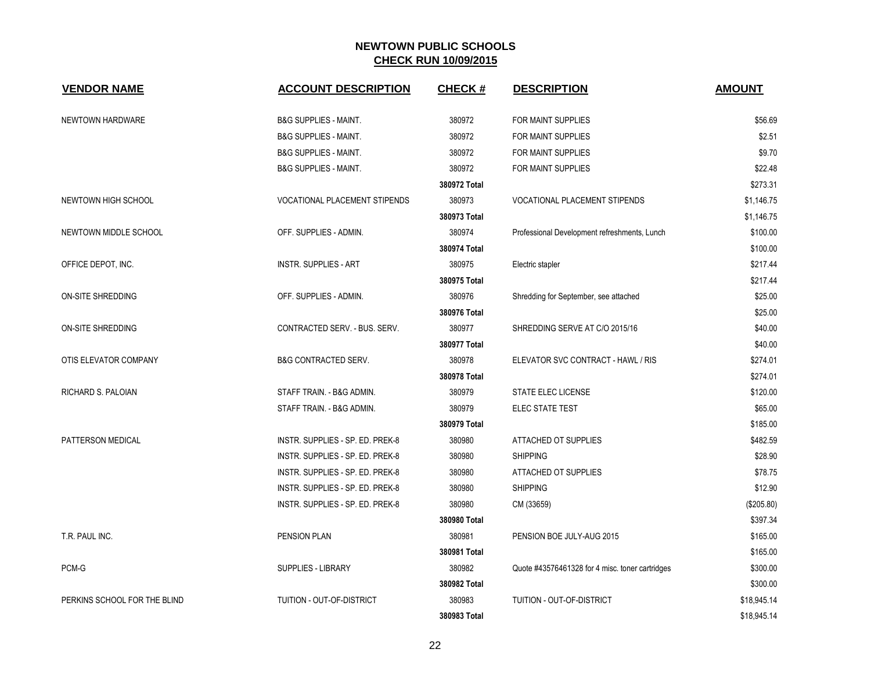| <b>VENDOR NAME</b>           | <b>ACCOUNT DESCRIPTION</b>           | <b>CHECK#</b> | <b>DESCRIPTION</b>                              | <b>AMOUNT</b> |
|------------------------------|--------------------------------------|---------------|-------------------------------------------------|---------------|
| NEWTOWN HARDWARE             | <b>B&amp;G SUPPLIES - MAINT.</b>     | 380972        | FOR MAINT SUPPLIES                              | \$56.69       |
|                              | <b>B&amp;G SUPPLIES - MAINT.</b>     | 380972        | FOR MAINT SUPPLIES                              | \$2.51        |
|                              | <b>B&amp;G SUPPLIES - MAINT.</b>     | 380972        | FOR MAINT SUPPLIES                              | \$9.70        |
|                              | <b>B&amp;G SUPPLIES - MAINT.</b>     | 380972        | FOR MAINT SUPPLIES                              | \$22.48       |
|                              |                                      | 380972 Total  |                                                 | \$273.31      |
| NEWTOWN HIGH SCHOOL          | <b>VOCATIONAL PLACEMENT STIPENDS</b> | 380973        | VOCATIONAL PLACEMENT STIPENDS                   | \$1,146.75    |
|                              |                                      | 380973 Total  |                                                 | \$1,146.75    |
| NEWTOWN MIDDLE SCHOOL        | OFF. SUPPLIES - ADMIN.               | 380974        | Professional Development refreshments, Lunch    | \$100.00      |
|                              |                                      | 380974 Total  |                                                 | \$100.00      |
| OFFICE DEPOT, INC.           | <b>INSTR. SUPPLIES - ART</b>         | 380975        | Electric stapler                                | \$217.44      |
|                              |                                      | 380975 Total  |                                                 | \$217.44      |
| <b>ON-SITE SHREDDING</b>     | OFF. SUPPLIES - ADMIN.               | 380976        | Shredding for September, see attached           | \$25.00       |
|                              |                                      | 380976 Total  |                                                 | \$25.00       |
| ON-SITE SHREDDING            | CONTRACTED SERV. - BUS. SERV.        | 380977        | SHREDDING SERVE AT C/O 2015/16                  | \$40.00       |
|                              |                                      | 380977 Total  |                                                 | \$40.00       |
| OTIS ELEVATOR COMPANY        | <b>B&amp;G CONTRACTED SERV.</b>      | 380978        | ELEVATOR SVC CONTRACT - HAWL / RIS              | \$274.01      |
|                              |                                      | 380978 Total  |                                                 | \$274.01      |
| RICHARD S. PALOIAN           | STAFF TRAIN. - B&G ADMIN.            | 380979        | STATE ELEC LICENSE                              | \$120.00      |
|                              | STAFF TRAIN. - B&G ADMIN.            | 380979        | ELEC STATE TEST                                 | \$65.00       |
|                              |                                      | 380979 Total  |                                                 | \$185.00      |
| PATTERSON MEDICAL            | INSTR. SUPPLIES - SP. ED. PREK-8     | 380980        | ATTACHED OT SUPPLIES                            | \$482.59      |
|                              | INSTR. SUPPLIES - SP. ED. PREK-8     | 380980        | <b>SHIPPING</b>                                 | \$28.90       |
|                              | INSTR. SUPPLIES - SP. ED. PREK-8     | 380980        | ATTACHED OT SUPPLIES                            | \$78.75       |
|                              | INSTR. SUPPLIES - SP. ED. PREK-8     | 380980        | <b>SHIPPING</b>                                 | \$12.90       |
|                              | INSTR. SUPPLIES - SP. ED. PREK-8     | 380980        | CM (33659)                                      | (\$205.80)    |
|                              |                                      | 380980 Total  |                                                 | \$397.34      |
| T.R. PAUL INC.               | PENSION PLAN                         | 380981        | PENSION BOE JULY-AUG 2015                       | \$165.00      |
|                              |                                      | 380981 Total  |                                                 | \$165.00      |
| PCM-G                        | <b>SUPPLIES - LIBRARY</b>            | 380982        | Quote #43576461328 for 4 misc. toner cartridges | \$300.00      |
|                              |                                      | 380982 Total  |                                                 | \$300.00      |
| PERKINS SCHOOL FOR THE BLIND | TUITION - OUT-OF-DISTRICT            | 380983        | TUITION - OUT-OF-DISTRICT                       | \$18,945.14   |
|                              |                                      | 380983 Total  |                                                 | \$18,945.14   |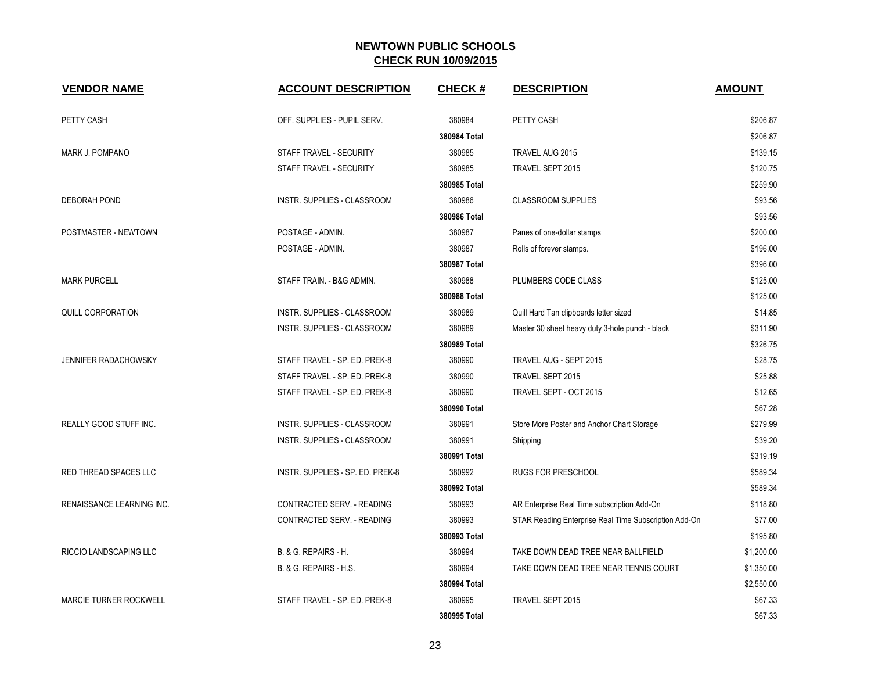| <b>VENDOR NAME</b>            | <b>ACCOUNT DESCRIPTION</b>       | <b>CHECK#</b> | <b>DESCRIPTION</b>                                    | <b>AMOUNT</b> |
|-------------------------------|----------------------------------|---------------|-------------------------------------------------------|---------------|
| PETTY CASH                    | OFF. SUPPLIES - PUPIL SERV.      | 380984        | PETTY CASH                                            | \$206.87      |
|                               |                                  | 380984 Total  |                                                       | \$206.87      |
| MARK J. POMPANO               | STAFF TRAVEL - SECURITY          | 380985        | TRAVEL AUG 2015                                       | \$139.15      |
|                               | STAFF TRAVEL - SECURITY          | 380985        | TRAVEL SEPT 2015                                      | \$120.75      |
|                               |                                  | 380985 Total  |                                                       | \$259.90      |
| <b>DEBORAH POND</b>           | INSTR. SUPPLIES - CLASSROOM      | 380986        | <b>CLASSROOM SUPPLIES</b>                             | \$93.56       |
|                               |                                  | 380986 Total  |                                                       | \$93.56       |
| POSTMASTER - NEWTOWN          | POSTAGE - ADMIN.                 | 380987        | Panes of one-dollar stamps                            | \$200.00      |
|                               | POSTAGE - ADMIN.                 | 380987        | Rolls of forever stamps.                              | \$196.00      |
|                               |                                  | 380987 Total  |                                                       | \$396.00      |
| <b>MARK PURCELL</b>           | STAFF TRAIN. - B&G ADMIN.        | 380988        | PLUMBERS CODE CLASS                                   | \$125.00      |
|                               |                                  | 380988 Total  |                                                       | \$125.00      |
| <b>QUILL CORPORATION</b>      | INSTR. SUPPLIES - CLASSROOM      | 380989        | Quill Hard Tan clipboards letter sized                | \$14.85       |
|                               | INSTR. SUPPLIES - CLASSROOM      | 380989        | Master 30 sheet heavy duty 3-hole punch - black       | \$311.90      |
|                               |                                  | 380989 Total  |                                                       | \$326.75      |
| JENNIFER RADACHOWSKY          | STAFF TRAVEL - SP. ED. PREK-8    | 380990        | TRAVEL AUG - SEPT 2015                                | \$28.75       |
|                               | STAFF TRAVEL - SP. ED. PREK-8    | 380990        | TRAVEL SEPT 2015                                      | \$25.88       |
|                               | STAFF TRAVEL - SP. ED. PREK-8    | 380990        | TRAVEL SEPT - OCT 2015                                | \$12.65       |
|                               |                                  | 380990 Total  |                                                       | \$67.28       |
| <b>REALLY GOOD STUFF INC.</b> | INSTR. SUPPLIES - CLASSROOM      | 380991        | Store More Poster and Anchor Chart Storage            | \$279.99      |
|                               | INSTR. SUPPLIES - CLASSROOM      | 380991        | Shipping                                              | \$39.20       |
|                               |                                  | 380991 Total  |                                                       | \$319.19      |
| <b>RED THREAD SPACES LLC</b>  | INSTR. SUPPLIES - SP. ED. PREK-8 | 380992        | <b>RUGS FOR PRESCHOOL</b>                             | \$589.34      |
|                               |                                  | 380992 Total  |                                                       | \$589.34      |
| RENAISSANCE LEARNING INC.     | CONTRACTED SERV. - READING       | 380993        | AR Enterprise Real Time subscription Add-On           | \$118.80      |
|                               | CONTRACTED SERV. - READING       | 380993        | STAR Reading Enterprise Real Time Subscription Add-On | \$77.00       |
|                               |                                  | 380993 Total  |                                                       | \$195.80      |
| RICCIO LANDSCAPING LLC        | B. & G. REPAIRS - H.             | 380994        | TAKE DOWN DEAD TREE NEAR BALLFIELD                    | \$1,200.00    |
|                               | B. & G. REPAIRS - H.S.           | 380994        | TAKE DOWN DEAD TREE NEAR TENNIS COURT                 | \$1,350.00    |
|                               |                                  | 380994 Total  |                                                       | \$2,550.00    |
| MARCIE TURNER ROCKWELL        | STAFF TRAVEL - SP. ED. PREK-8    | 380995        | TRAVEL SEPT 2015                                      | \$67.33       |
|                               |                                  | 380995 Total  |                                                       | \$67.33       |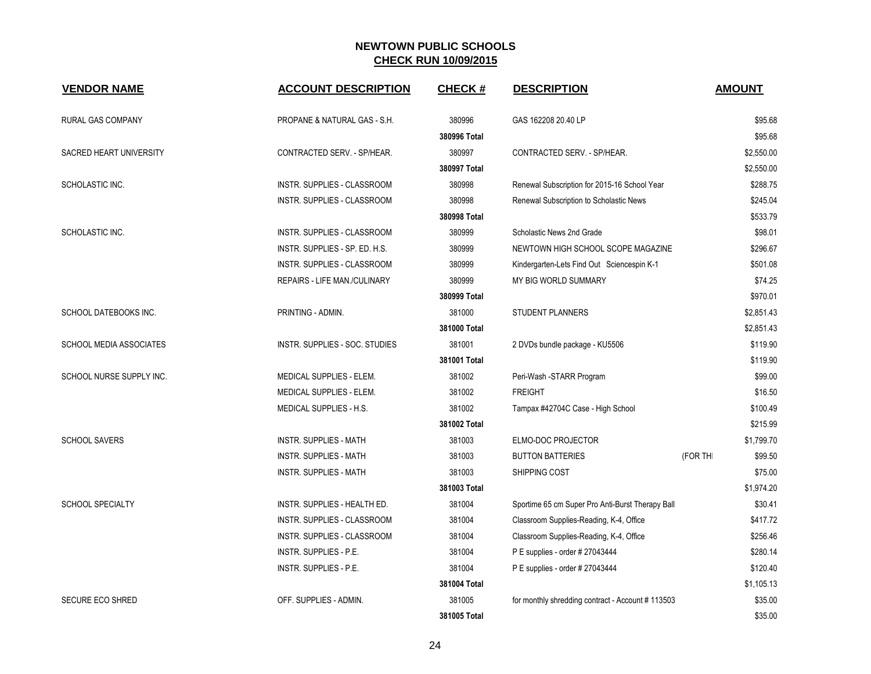| <b>VENDOR NAME</b>             | <b>ACCOUNT DESCRIPTION</b>          | <b>CHECK#</b> | <b>DESCRIPTION</b>                               | <b>AMOUNT</b>       |
|--------------------------------|-------------------------------------|---------------|--------------------------------------------------|---------------------|
| RURAL GAS COMPANY              | PROPANE & NATURAL GAS - S.H.        | 380996        | GAS 162208 20.40 LP                              | \$95.68             |
|                                |                                     | 380996 Total  |                                                  | \$95.68             |
| SACRED HEART UNIVERSITY        | CONTRACTED SERV. - SP/HEAR.         | 380997        | CONTRACTED SERV. - SP/HEAR.                      | \$2,550.00          |
|                                |                                     | 380997 Total  |                                                  | \$2,550.00          |
| SCHOLASTIC INC.                | INSTR. SUPPLIES - CLASSROOM         | 380998        | Renewal Subscription for 2015-16 School Year     | \$288.75            |
|                                | INSTR. SUPPLIES - CLASSROOM         | 380998        | Renewal Subscription to Scholastic News          | \$245.04            |
|                                |                                     | 380998 Total  |                                                  | \$533.79            |
| SCHOLASTIC INC.                | INSTR. SUPPLIES - CLASSROOM         | 380999        | Scholastic News 2nd Grade                        | \$98.01             |
|                                | INSTR. SUPPLIES - SP. ED. H.S.      | 380999        | NEWTOWN HIGH SCHOOL SCOPE MAGAZINE               | \$296.67            |
|                                | INSTR. SUPPLIES - CLASSROOM         | 380999        | Kindergarten-Lets Find Out Sciencespin K-1       | \$501.08            |
|                                | <b>REPAIRS - LIFE MAN./CULINARY</b> | 380999        | MY BIG WORLD SUMMARY                             | \$74.25             |
|                                |                                     | 380999 Total  |                                                  | \$970.01            |
| SCHOOL DATEBOOKS INC.          | PRINTING - ADMIN.                   | 381000        | STUDENT PLANNERS                                 | \$2,851.43          |
|                                |                                     | 381000 Total  |                                                  | \$2,851.43          |
| <b>SCHOOL MEDIA ASSOCIATES</b> | INSTR. SUPPLIES - SOC. STUDIES      | 381001        | 2 DVDs bundle package - KU5506                   | \$119.90            |
|                                |                                     | 381001 Total  |                                                  | \$119.90            |
| SCHOOL NURSE SUPPLY INC.       | <b>MEDICAL SUPPLIES - ELEM.</b>     | 381002        | Peri-Wash -STARR Program                         | \$99.00             |
|                                | MEDICAL SUPPLIES - ELEM.            | 381002        | <b>FREIGHT</b>                                   | \$16.50             |
|                                | MEDICAL SUPPLIES - H.S.             | 381002        | Tampax #42704C Case - High School                | \$100.49            |
|                                |                                     | 381002 Total  |                                                  | \$215.99            |
| <b>SCHOOL SAVERS</b>           | <b>INSTR. SUPPLIES - MATH</b>       | 381003        | ELMO-DOC PROJECTOR                               | \$1,799.70          |
|                                | <b>INSTR. SUPPLIES - MATH</b>       | 381003        | <b>BUTTON BATTERIES</b>                          | (FOR THI<br>\$99.50 |
|                                | <b>INSTR. SUPPLIES - MATH</b>       | 381003        | SHIPPING COST                                    | \$75.00             |
|                                |                                     | 381003 Total  |                                                  | \$1,974.20          |
| <b>SCHOOL SPECIALTY</b>        | INSTR. SUPPLIES - HEALTH ED.        | 381004        | Sportime 65 cm Super Pro Anti-Burst Therapy Ball | \$30.41             |
|                                | INSTR. SUPPLIES - CLASSROOM         | 381004        | Classroom Supplies-Reading, K-4, Office          | \$417.72            |
|                                | INSTR. SUPPLIES - CLASSROOM         | 381004        | Classroom Supplies-Reading, K-4, Office          | \$256.46            |
|                                | INSTR. SUPPLIES - P.E.              | 381004        | P E supplies - order # 27043444                  | \$280.14            |
|                                | <b>INSTR. SUPPLIES - P.E.</b>       | 381004        | P E supplies - order # 27043444                  | \$120.40            |
|                                |                                     | 381004 Total  |                                                  | \$1,105.13          |
| <b>SECURE ECO SHRED</b>        | OFF. SUPPLIES - ADMIN.              | 381005        | for monthly shredding contract - Account #113503 | \$35.00             |
|                                |                                     | 381005 Total  |                                                  | \$35.00             |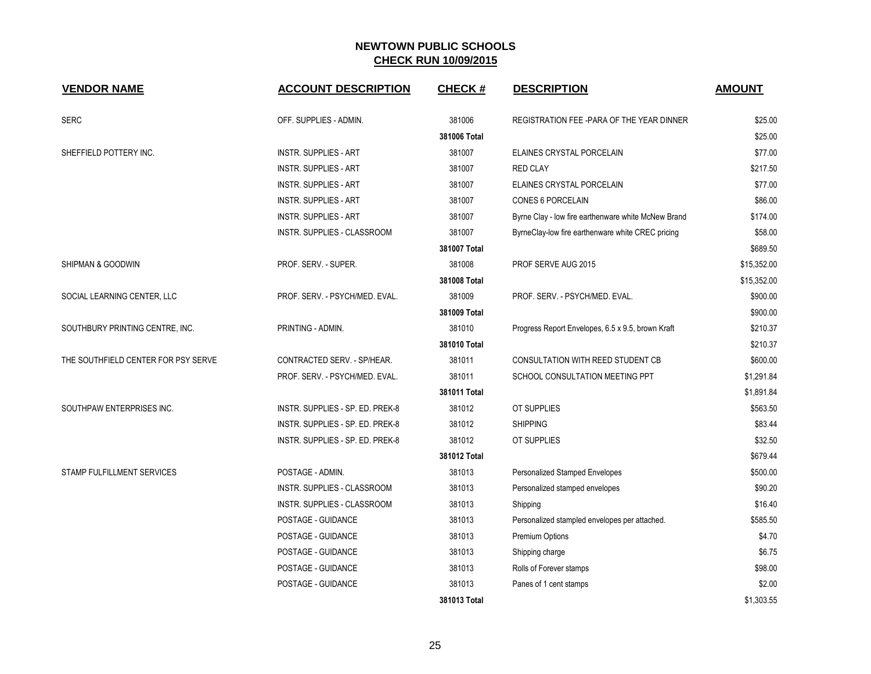| <b>VENDOR NAME</b>                  | <b>ACCOUNT DESCRIPTION</b>         | <b>CHECK#</b> | <b>DESCRIPTION</b>                                  | <b>AMOUNT</b> |
|-------------------------------------|------------------------------------|---------------|-----------------------------------------------------|---------------|
| <b>SERC</b>                         | OFF. SUPPLIES - ADMIN.             | 381006        | REGISTRATION FEE-PARA OF THE YEAR DINNER            | \$25.00       |
|                                     |                                    | 381006 Total  |                                                     | \$25.00       |
| SHEFFIELD POTTERY INC.              | <b>INSTR. SUPPLIES - ART</b>       | 381007        | ELAINES CRYSTAL PORCELAIN                           | \$77.00       |
|                                     | <b>INSTR. SUPPLIES - ART</b>       | 381007        | <b>RED CLAY</b>                                     | \$217.50      |
|                                     | <b>INSTR. SUPPLIES - ART</b>       | 381007        | ELAINES CRYSTAL PORCELAIN                           | \$77.00       |
|                                     | <b>INSTR. SUPPLIES - ART</b>       | 381007        | <b>CONES 6 PORCELAIN</b>                            | \$86.00       |
|                                     | <b>INSTR. SUPPLIES - ART</b>       | 381007        | Byrne Clay - low fire earthenware white McNew Brand | \$174.00      |
|                                     | <b>INSTR. SUPPLIES - CLASSROOM</b> | 381007        | ByrneClay-low fire earthenware white CREC pricing   | \$58.00       |
|                                     |                                    | 381007 Total  |                                                     | \$689.50      |
| SHIPMAN & GOODWIN                   | PROF. SERV. - SUPER.               | 381008        | PROF SERVE AUG 2015                                 | \$15,352.00   |
|                                     |                                    | 381008 Total  |                                                     | \$15,352.00   |
| SOCIAL LEARNING CENTER, LLC         | PROF. SERV. - PSYCH/MED. EVAL.     | 381009        | PROF. SERV. - PSYCH/MED. EVAL.                      | \$900.00      |
|                                     |                                    | 381009 Total  |                                                     | \$900.00      |
| SOUTHBURY PRINTING CENTRE, INC.     | PRINTING - ADMIN.                  | 381010        | Progress Report Envelopes, 6.5 x 9.5, brown Kraft   | \$210.37      |
|                                     |                                    | 381010 Total  |                                                     | \$210.37      |
| THE SOUTHFIELD CENTER FOR PSY SERVE | CONTRACTED SERV. - SP/HEAR.        | 381011        | <b>CONSULTATION WITH REED STUDENT CB</b>            | \$600.00      |
|                                     | PROF. SERV. - PSYCH/MED. EVAL.     | 381011        | SCHOOL CONSULTATION MEETING PPT                     | \$1,291.84    |
|                                     |                                    | 381011 Total  |                                                     | \$1,891.84    |
| SOUTHPAW ENTERPRISES INC.           | INSTR. SUPPLIES - SP. ED. PREK-8   | 381012        | OT SUPPLIES                                         | \$563.50      |
|                                     | INSTR. SUPPLIES - SP. ED. PREK-8   | 381012        | <b>SHIPPING</b>                                     | \$83.44       |
|                                     | INSTR. SUPPLIES - SP. ED. PREK-8   | 381012        | OT SUPPLIES                                         | \$32.50       |
|                                     |                                    | 381012 Total  |                                                     | \$679.44      |
| STAMP FULFILLMENT SERVICES          | POSTAGE - ADMIN.                   | 381013        | Personalized Stamped Envelopes                      | \$500.00      |
|                                     | INSTR. SUPPLIES - CLASSROOM        | 381013        | Personalized stamped envelopes                      | \$90.20       |
|                                     | INSTR. SUPPLIES - CLASSROOM        | 381013        | Shipping                                            | \$16.40       |
|                                     | POSTAGE - GUIDANCE                 | 381013        | Personalized stampled envelopes per attached.       | \$585.50      |
|                                     | POSTAGE - GUIDANCE                 | 381013        | Premium Options                                     | \$4.70        |
|                                     | POSTAGE - GUIDANCE                 | 381013        | Shipping charge                                     | \$6.75        |
|                                     | POSTAGE - GUIDANCE                 | 381013        | Rolls of Forever stamps                             | \$98.00       |
|                                     | POSTAGE - GUIDANCE                 | 381013        | Panes of 1 cent stamps                              | \$2.00        |
|                                     |                                    | 381013 Total  |                                                     | \$1,303.55    |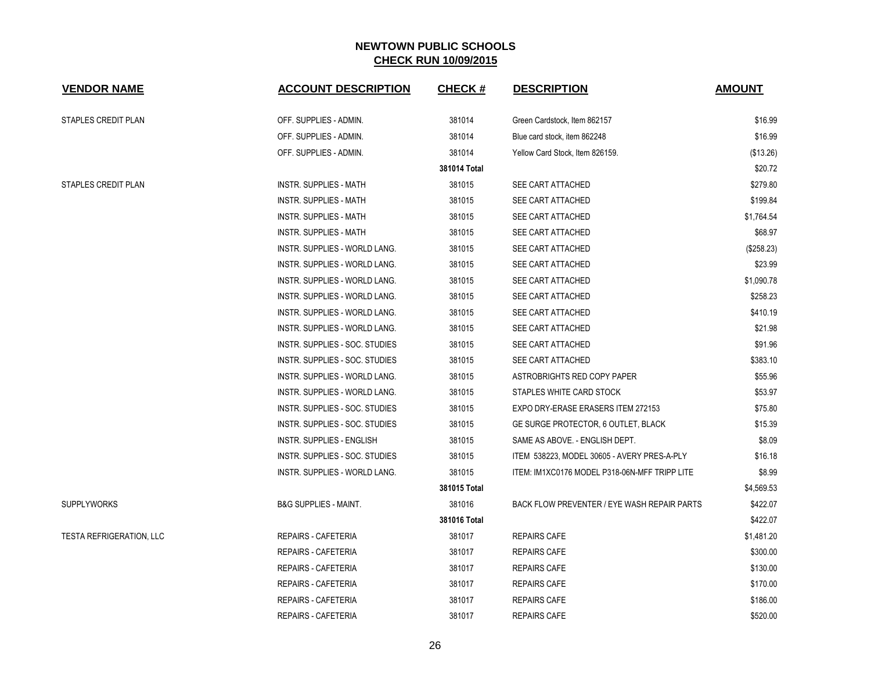| <b>VENDOR NAME</b>              | <b>ACCOUNT DESCRIPTION</b>           | <b>CHECK#</b> | <b>DESCRIPTION</b>                            | <b>AMOUNT</b> |
|---------------------------------|--------------------------------------|---------------|-----------------------------------------------|---------------|
| STAPLES CREDIT PLAN             | OFF. SUPPLIES - ADMIN.               | 381014        | Green Cardstock, Item 862157                  | \$16.99       |
|                                 | OFF. SUPPLIES - ADMIN.               | 381014        | Blue card stock, item 862248                  | \$16.99       |
|                                 | OFF. SUPPLIES - ADMIN.               | 381014        | Yellow Card Stock, Item 826159.               | (\$13.26)     |
|                                 |                                      | 381014 Total  |                                               | \$20.72       |
| <b>STAPLES CREDIT PLAN</b>      | INSTR. SUPPLIES - MATH               | 381015        | SEE CART ATTACHED                             | \$279.80      |
|                                 | <b>INSTR. SUPPLIES - MATH</b>        | 381015        | <b>SEE CART ATTACHED</b>                      | \$199.84      |
|                                 | INSTR. SUPPLIES - MATH               | 381015        | SEE CART ATTACHED                             | \$1,764.54    |
|                                 | INSTR. SUPPLIES - MATH               | 381015        | SEE CART ATTACHED                             | \$68.97       |
|                                 | INSTR. SUPPLIES - WORLD LANG.        | 381015        | SEE CART ATTACHED                             | (\$258.23)    |
|                                 | INSTR. SUPPLIES - WORLD LANG.        | 381015        | SEE CART ATTACHED                             | \$23.99       |
|                                 | <b>INSTR. SUPPLIES - WORLD LANG.</b> | 381015        | SEE CART ATTACHED                             | \$1,090.78    |
|                                 | <b>INSTR. SUPPLIES - WORLD LANG.</b> | 381015        | SEE CART ATTACHED                             | \$258.23      |
|                                 | INSTR. SUPPLIES - WORLD LANG.        | 381015        | SEE CART ATTACHED                             | \$410.19      |
|                                 | INSTR. SUPPLIES - WORLD LANG.        | 381015        | SEE CART ATTACHED                             | \$21.98       |
|                                 | INSTR. SUPPLIES - SOC. STUDIES       | 381015        | SEE CART ATTACHED                             | \$91.96       |
|                                 | INSTR. SUPPLIES - SOC. STUDIES       | 381015        | SEE CART ATTACHED                             | \$383.10      |
|                                 | INSTR. SUPPLIES - WORLD LANG.        | 381015        | ASTROBRIGHTS RED COPY PAPER                   | \$55.96       |
|                                 | INSTR. SUPPLIES - WORLD LANG.        | 381015        | STAPLES WHITE CARD STOCK                      | \$53.97       |
|                                 | INSTR. SUPPLIES - SOC. STUDIES       | 381015        | EXPO DRY-ERASE ERASERS ITEM 272153            | \$75.80       |
|                                 | INSTR. SUPPLIES - SOC. STUDIES       | 381015        | GE SURGE PROTECTOR, 6 OUTLET, BLACK           | \$15.39       |
|                                 | INSTR. SUPPLIES - ENGLISH            | 381015        | SAME AS ABOVE. - ENGLISH DEPT.                | \$8.09        |
|                                 | INSTR. SUPPLIES - SOC. STUDIES       | 381015        | ITEM 538223, MODEL 30605 - AVERY PRES-A-PLY   | \$16.18       |
|                                 | INSTR. SUPPLIES - WORLD LANG.        | 381015        | ITEM: IM1XC0176 MODEL P318-06N-MFF TRIPP LITE | \$8.99        |
|                                 |                                      | 381015 Total  |                                               | \$4,569.53    |
| <b>SUPPLYWORKS</b>              | <b>B&amp;G SUPPLIES - MAINT.</b>     | 381016        | BACK FLOW PREVENTER / EYE WASH REPAIR PARTS   | \$422.07      |
|                                 |                                      | 381016 Total  |                                               | \$422.07      |
| <b>TESTA REFRIGERATION, LLC</b> | REPAIRS - CAFETERIA                  | 381017        | <b>REPAIRS CAFE</b>                           | \$1,481.20    |
|                                 | REPAIRS - CAFETERIA                  | 381017        | <b>REPAIRS CAFE</b>                           | \$300.00      |
|                                 | REPAIRS - CAFETERIA                  | 381017        | <b>REPAIRS CAFE</b>                           | \$130.00      |
|                                 | REPAIRS - CAFETERIA                  | 381017        | <b>REPAIRS CAFE</b>                           | \$170.00      |
|                                 | <b>REPAIRS - CAFETERIA</b>           | 381017        | <b>REPAIRS CAFE</b>                           | \$186.00      |
|                                 | REPAIRS - CAFETERIA                  | 381017        | <b>REPAIRS CAFE</b>                           | \$520.00      |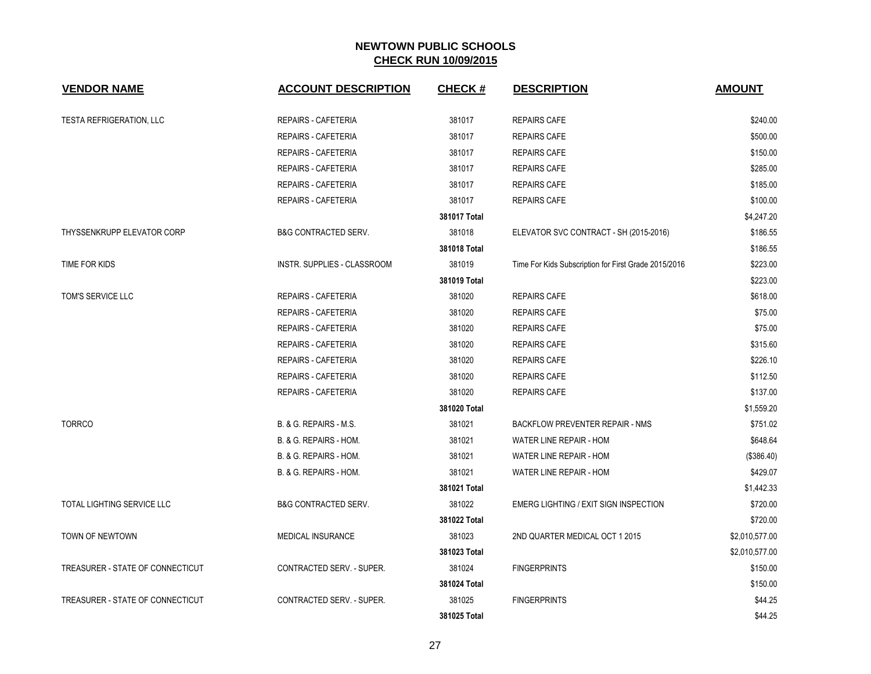| <b>VENDOR NAME</b>                | <b>ACCOUNT DESCRIPTION</b>      | <b>CHECK#</b> | <b>DESCRIPTION</b>                                   | <b>AMOUNT</b>  |
|-----------------------------------|---------------------------------|---------------|------------------------------------------------------|----------------|
| <b>TESTA REFRIGERATION, LLC</b>   | <b>REPAIRS - CAFETERIA</b>      | 381017        | <b>REPAIRS CAFE</b>                                  | \$240.00       |
|                                   | <b>REPAIRS - CAFETERIA</b>      | 381017        | <b>REPAIRS CAFE</b>                                  | \$500.00       |
|                                   | <b>REPAIRS - CAFETERIA</b>      | 381017        | <b>REPAIRS CAFE</b>                                  | \$150.00       |
|                                   | <b>REPAIRS - CAFETERIA</b>      | 381017        | <b>REPAIRS CAFE</b>                                  | \$285.00       |
|                                   | <b>REPAIRS - CAFETERIA</b>      | 381017        | <b>REPAIRS CAFE</b>                                  | \$185.00       |
|                                   | <b>REPAIRS - CAFETERIA</b>      | 381017        | <b>REPAIRS CAFE</b>                                  | \$100.00       |
|                                   |                                 | 381017 Total  |                                                      | \$4,247.20     |
| THYSSENKRUPP ELEVATOR CORP        | <b>B&amp;G CONTRACTED SERV.</b> | 381018        | ELEVATOR SVC CONTRACT - SH (2015-2016)               | \$186.55       |
|                                   |                                 | 381018 Total  |                                                      | \$186.55       |
| TIME FOR KIDS                     | INSTR. SUPPLIES - CLASSROOM     | 381019        | Time For Kids Subscription for First Grade 2015/2016 | \$223.00       |
|                                   |                                 | 381019 Total  |                                                      | \$223.00       |
| TOM'S SERVICE LLC                 | <b>REPAIRS - CAFETERIA</b>      | 381020        | <b>REPAIRS CAFE</b>                                  | \$618.00       |
|                                   | <b>REPAIRS - CAFETERIA</b>      | 381020        | <b>REPAIRS CAFE</b>                                  | \$75.00        |
|                                   | <b>REPAIRS - CAFETERIA</b>      | 381020        | <b>REPAIRS CAFE</b>                                  | \$75.00        |
|                                   | <b>REPAIRS - CAFETERIA</b>      | 381020        | <b>REPAIRS CAFE</b>                                  | \$315.60       |
|                                   | <b>REPAIRS - CAFETERIA</b>      | 381020        | <b>REPAIRS CAFE</b>                                  | \$226.10       |
|                                   | REPAIRS - CAFETERIA             | 381020        | <b>REPAIRS CAFE</b>                                  | \$112.50       |
|                                   | REPAIRS - CAFETERIA             | 381020        | <b>REPAIRS CAFE</b>                                  | \$137.00       |
|                                   |                                 | 381020 Total  |                                                      | \$1,559.20     |
| <b>TORRCO</b>                     | B. & G. REPAIRS - M.S.          | 381021        | <b>BACKFLOW PREVENTER REPAIR - NMS</b>               | \$751.02       |
|                                   | B. & G. REPAIRS - HOM.          | 381021        | WATER LINE REPAIR - HOM                              | \$648.64       |
|                                   | B. & G. REPAIRS - HOM.          | 381021        | WATER LINE REPAIR - HOM                              | (\$386.40)     |
|                                   | B. & G. REPAIRS - HOM.          | 381021        | WATER LINE REPAIR - HOM                              | \$429.07       |
|                                   |                                 | 381021 Total  |                                                      | \$1,442.33     |
| <b>TOTAL LIGHTING SERVICE LLC</b> | <b>B&amp;G CONTRACTED SERV.</b> | 381022        | EMERG LIGHTING / EXIT SIGN INSPECTION                | \$720.00       |
|                                   |                                 | 381022 Total  |                                                      | \$720.00       |
| TOWN OF NEWTOWN                   | MEDICAL INSURANCE               | 381023        | 2ND QUARTER MEDICAL OCT 1 2015                       | \$2,010,577.00 |
|                                   |                                 | 381023 Total  |                                                      | \$2,010,577.00 |
| TREASURER - STATE OF CONNECTICUT  | CONTRACTED SERV. - SUPER.       | 381024        | <b>FINGERPRINTS</b>                                  | \$150.00       |
|                                   |                                 | 381024 Total  |                                                      | \$150.00       |
| TREASURER - STATE OF CONNECTICUT  | CONTRACTED SERV. - SUPER.       | 381025        | <b>FINGERPRINTS</b>                                  | \$44.25        |
|                                   |                                 | 381025 Total  |                                                      | \$44.25        |